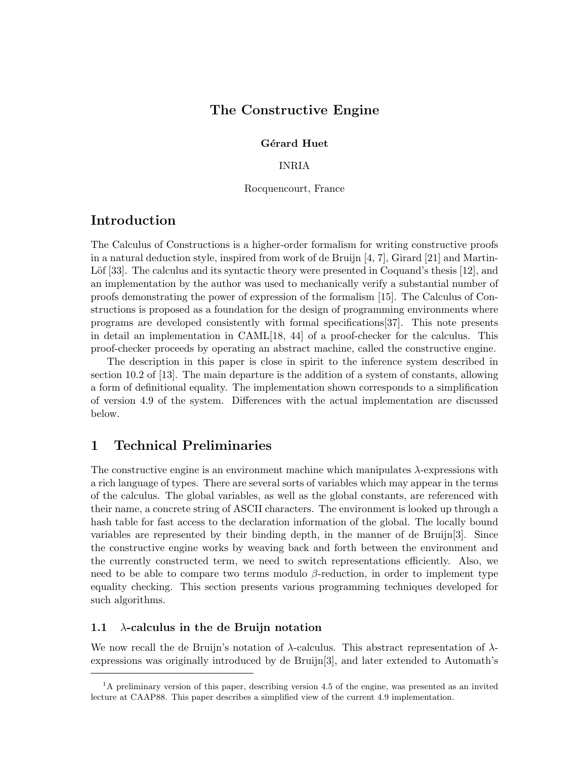# The Constructive Engine

#### Gérard Huet

#### INRIA

Rocquencourt, France

# Introduction

The Calculus of Constructions is a higher-order formalism for writing constructive proofs in a natural deduction style, inspired from work of de Bruijn [4, 7], Girard [21] and Martin-Löf  $[33]$ . The calculus and its syntactic theory were presented in Coquand's thesis  $[12]$ , and an implementation by the author was used to mechanically verify a substantial number of proofs demonstrating the power of expression of the formalism [15]. The Calculus of Constructions is proposed as a foundation for the design of programming environments where programs are developed consistently with formal specifications[37]. This note presents in detail an implementation in CAML[18, 44] of a proof-checker for the calculus. This proof-checker proceeds by operating an abstract machine, called the constructive engine.

The description in this paper is close in spirit to the inference system described in section 10.2 of [13]. The main departure is the addition of a system of constants, allowing a form of definitional equality. The implementation shown corresponds to a simplification of version 4.9 of the system. Differences with the actual implementation are discussed below.

# 1 Technical Preliminaries

The constructive engine is an environment machine which manipulates  $\lambda$ -expressions with a rich language of types. There are several sorts of variables which may appear in the terms of the calculus. The global variables, as well as the global constants, are referenced with their name, a concrete string of ASCII characters. The environment is looked up through a hash table for fast access to the declaration information of the global. The locally bound variables are represented by their binding depth, in the manner of de Bruijn[3]. Since the constructive engine works by weaving back and forth between the environment and the currently constructed term, we need to switch representations efficiently. Also, we need to be able to compare two terms modulo  $\beta$ -reduction, in order to implement type equality checking. This section presents various programming techniques developed for such algorithms.

#### 1.1  $\lambda$ -calculus in the de Bruijn notation

We now recall the de Bruijn's notation of  $\lambda$ -calculus. This abstract representation of  $\lambda$ expressions was originally introduced by de Bruijn[3], and later extended to Automath's

 $1<sup>1</sup>$ A preliminary version of this paper, describing version 4.5 of the engine, was presented as an invited lecture at CAAP88. This paper describes a simplified view of the current 4.9 implementation.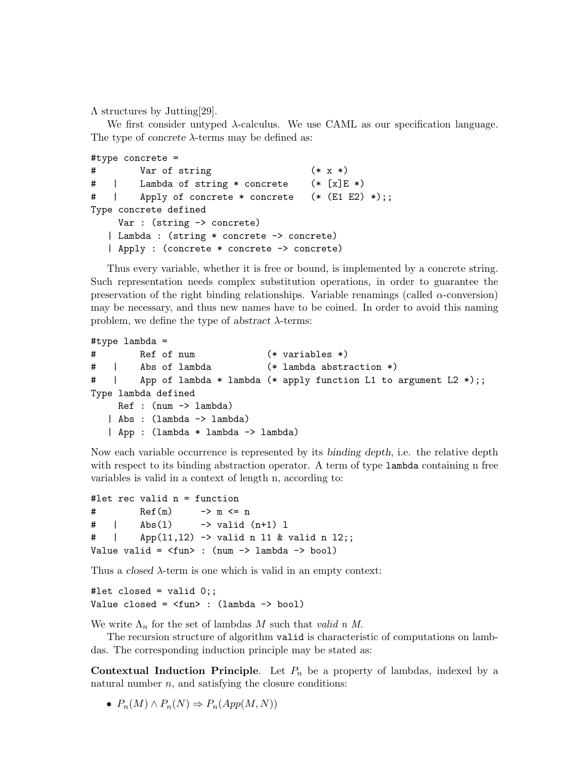Λ structures by Jutting[29].

We first consider untyped  $\lambda$ -calculus. We use CAML as our specification language. The type of *concrete*  $\lambda$ -terms may be defined as:

```
#type concrete =
# Var of string (* x *)# | Lambda of string * concrete (* [x]E *)
# | Apply of concrete * concrete (* (E1 E2) *);;
Type concrete defined
    Var : (string -> concrete)
  | Lambda : (string * concrete -> concrete)
  | Apply : (concrete * concrete -> concrete)
```
Thus every variable, whether it is free or bound, is implemented by a concrete string. Such representation needs complex substitution operations, in order to guarantee the preservation of the right binding relationships. Variable renamings (called  $\alpha$ -conversion) may be necessary, and thus new names have to be coined. In order to avoid this naming problem, we define the type of abstract  $\lambda$ -terms:

```
#type lambda =
# Ref of num (* variables *)
# | Abs of lambda (* lambda abstraction *)
# | App of lambda * lambda (* apply function L1 to argument L2 *);;
Type lambda defined
    Ref : (num -> lambda)
  | Abs : (lambda -> lambda)
  | App : (lambda * lambda -> lambda)
```
Now each variable occurrence is represented by its binding depth, i.e. the relative depth with respect to its binding abstraction operator. A term of type lambda containing n free variables is valid in a context of length n, according to:

```
#let rec valid n = function
# Ref(m) \rightarrow m \leq n
# | Abs(1) -> valid (n+1) 1
# | App(l1,l2) -> valid n l1 & valid n l2;;
Value valid = \timesfun> : (num -> lambda -> bool)
```
Thus a closed  $\lambda$ -term is one which is valid in an empty context:

```
#let closed = valid 0;;
Value closed = \timesfun> : (lambda -> bool)
```
We write  $\Lambda_n$  for the set of lambdas M such that valid n M.

The recursion structure of algorithm valid is characteristic of computations on lambdas. The corresponding induction principle may be stated as:

**Contextual Induction Principle.** Let  $P_n$  be a property of lambdas, indexed by a natural number  $n$ , and satisfying the closure conditions:

•  $P_n(M) \wedge P_n(N) \Rightarrow P_n(App(M, N))$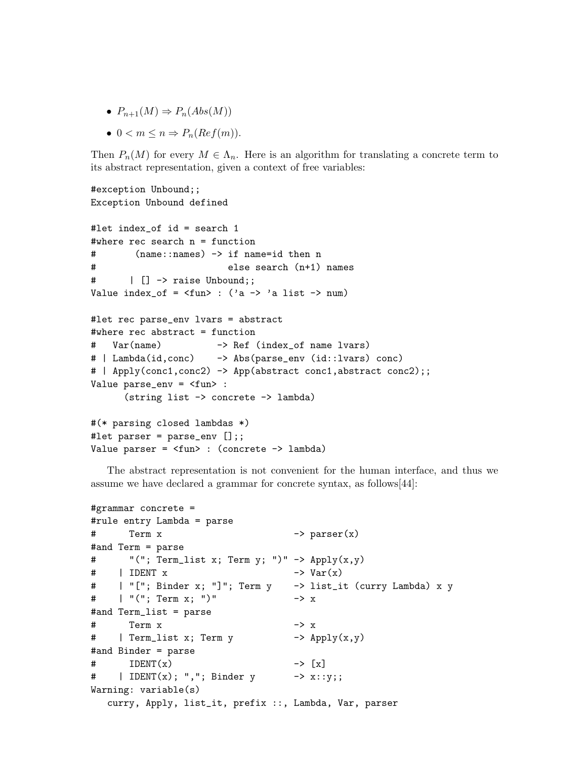- $P_{n+1}(M) \Rightarrow P_n(Abs(M))$
- $0 < m \leq n \Rightarrow P_n(Ref(m)).$

Then  $P_n(M)$  for every  $M \in \Lambda_n$ . Here is an algorithm for translating a concrete term to its abstract representation, given a context of free variables:

```
#exception Unbound;;
Exception Unbound defined
#let index_of id = search 1
#where rec search n = function
# (name::names) -> if name=id then n
# else search (n+1) names
# | [] -> raise Unbound;;
Value index_of = \timesfun> : ('a -> 'a list -> num)
#let rec parse_env lvars = abstract
#where rec abstract = function
# Var(name) -> Ref (index_of name lvars)
# | Lambda(id,conc) -> Abs(parse_env (id::lvars) conc)
# | Apply(conc1,conc2) -> App(abstract conc1,abstract conc2);;
Value parse_env = <fun> :
     (string list -> concrete -> lambda)
#(* parsing closed lambdas *)
#let parser = parse_env [];;
Value parser = <fun> : (concrete -> lambda)
```
The abstract representation is not convenient for the human interface, and thus we assume we have declared a grammar for concrete syntax, as follows[44]:

```
#grammar concrete =
#rule entry Lambda = parse
# Term x \rightarrow parser(x)
#and Term = parse
# "("; Term_list x; Term y; ")" -> Apply(x,y)\# | IDENT x -> Var(x)
# | "["; Binder x; "]"; Term y -> list_it (curry Lambda) x y
# | "("; Term x; ")" -> x
#and Term_list = parse
# Term x -> x# | Term_list x; Term y -> Apply(x,y)
#and Binder = parse
\# IDENT(x) \rightarrow [x]
# | IDENT(x); ","; Binder y -> x::y;;
Warning: variable(s)
  curry, Apply, list_it, prefix ::, Lambda, Var, parser
```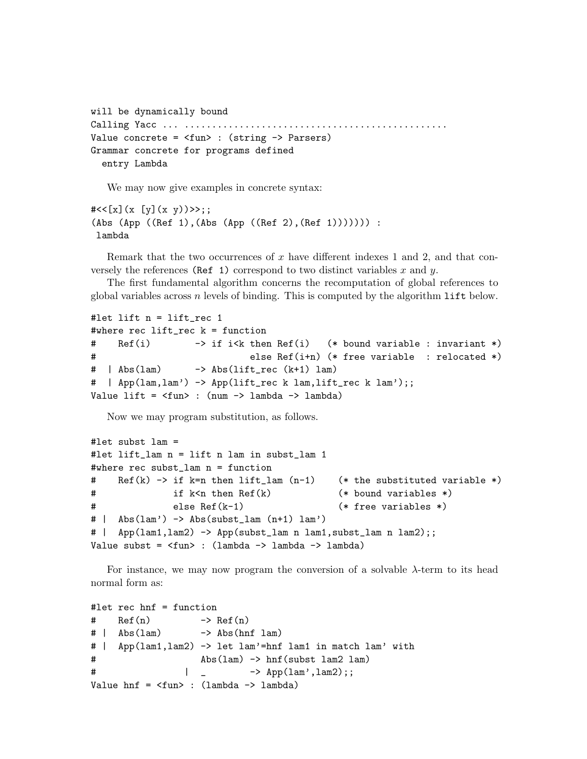```
will be dynamically bound
Calling Yacc ... ................................................
Value concrete = <fun> : (string -> Parsers)
Grammar concrete for programs defined
  entry Lambda
```
We may now give examples in concrete syntax:

```
#<<[x](x [y](x y))>>;;(Abs (App ((Ref 1),(Abs (App ((Ref 2),(Ref 1))))))) :
 lambda
```
Remark that the two occurrences of  $x$  have different indexes 1 and 2, and that conversely the references (Ref 1) correspond to two distinct variables x and  $y$ .

The first fundamental algorithm concerns the recomputation of global references to global variables across  $n$  levels of binding. This is computed by the algorithm  $\text{lift}$  below.

```
#let lift n = lift_rec 1
#where rec lift_rec k = function
# Ref(i) -> if i<k then Ref(i) (* bound variable : invariant *)
# else Ref(i+n) (* free variable : relocated *)
# | Abs(lam) -> Abs(lift_rec (k+1) lam)
# | App(lam,lam') -> App(lift_rec k lam,lift_rec k lam');;
Value lift = <fun> : (num -> lambda -> lambda)
```
Now we may program substitution, as follows.

```
#let subst lam =
#let lift_lam n = lift n lam in subst_lam 1
#where rec subst_lam n = function
# Ref(k) -> if k=n then lift_lam (n-1) (* the substituted variable *)
# if k<n then Ref(k) (* bound variables *)
# else Ref(k-1) (* free variables *)
# | Abs(lam') -> Abs(subst_lam (n+1) lam')
# | App(lam1,lam2) -> App(subst_lam n lam1,subst_lam n lam2);;
Value subst = \timesfun> : (lambda -> lambda -> lambda)
```
For instance, we may now program the conversion of a solvable  $\lambda$ -term to its head normal form as:

```
#let rec hnf = function
# Ref(n) \rightarrow Ref(n)
# | Abs(lam) -> Abs(hnf lam)
# | App(lam1,lam2) -> let lam'=hnf lam1 in match lam' with
# Abs(lam) -> hnf(subst lam2 lam)
\# | - \text{App}(\text{lam}', \text{lam2});Value hnf = \langle fun\rangle : (lambda \rightarrow lambda)
```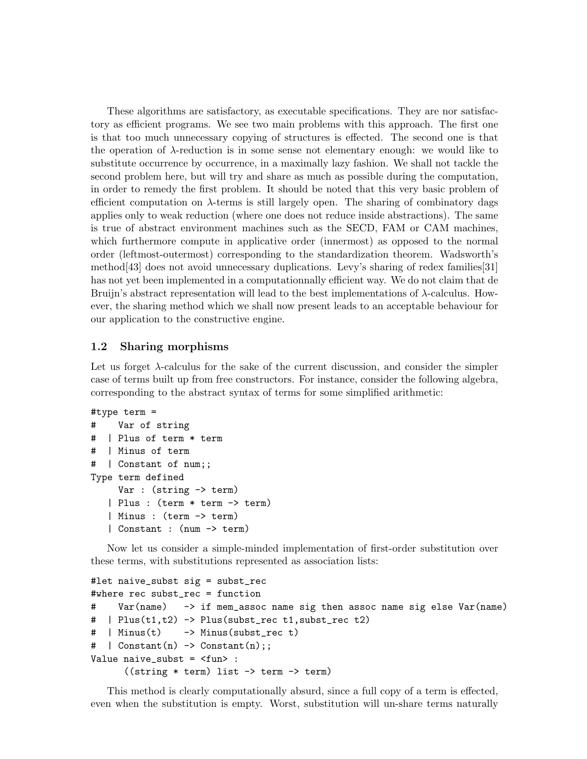These algorithms are satisfactory, as executable specifications. They are nor satisfactory as efficient programs. We see two main problems with this approach. The first one is that too much unnecessary copying of structures is effected. The second one is that the operation of  $\lambda$ -reduction is in some sense not elementary enough: we would like to substitute occurrence by occurrence, in a maximally lazy fashion. We shall not tackle the second problem here, but will try and share as much as possible during the computation, in order to remedy the first problem. It should be noted that this very basic problem of efficient computation on λ-terms is still largely open. The sharing of combinatory dags applies only to weak reduction (where one does not reduce inside abstractions). The same is true of abstract environment machines such as the SECD, FAM or CAM machines, which furthermore compute in applicative order (innermost) as opposed to the normal order (leftmost-outermost) corresponding to the standardization theorem. Wadsworth's method[43] does not avoid unnecessary duplications. Levy's sharing of redex families[31] has not yet been implemented in a computationnally efficient way. We do not claim that de Bruijn's abstract representation will lead to the best implementations of  $\lambda$ -calculus. However, the sharing method which we shall now present leads to an acceptable behaviour for our application to the constructive engine.

## 1.2 Sharing morphisms

Let us forget λ-calculus for the sake of the current discussion, and consider the simpler case of terms built up from free constructors. For instance, consider the following algebra, corresponding to the abstract syntax of terms for some simplified arithmetic:

```
#type term =
# Var of string
# | Plus of term * term
# | Minus of term
# | Constant of num;;
Type term defined
     Var : (string -> term)
   | Plus : (term * term -> term)
   | Minus : (term -> term)
   | Constant : (num -> term)
```
Now let us consider a simple-minded implementation of first-order substitution over these terms, with substitutions represented as association lists:

```
#let naive_subst sig = subst_rec
#where rec subst_rec = function
# Var(name) -> if mem_assoc name sig then assoc name sig else Var(name)
\# | Plus(t1,t2) -> Plus(subst_rec t1,subst_rec t2)
# | Minus(t) -> Minus(subst_rec t)
\# | Constant(n) -> Constant(n);;
Value naive_subst = <fun> :
      ((string * term) list -> term -> term)
```
This method is clearly computationally absurd, since a full copy of a term is effected, even when the substitution is empty. Worst, substitution will un-share terms naturally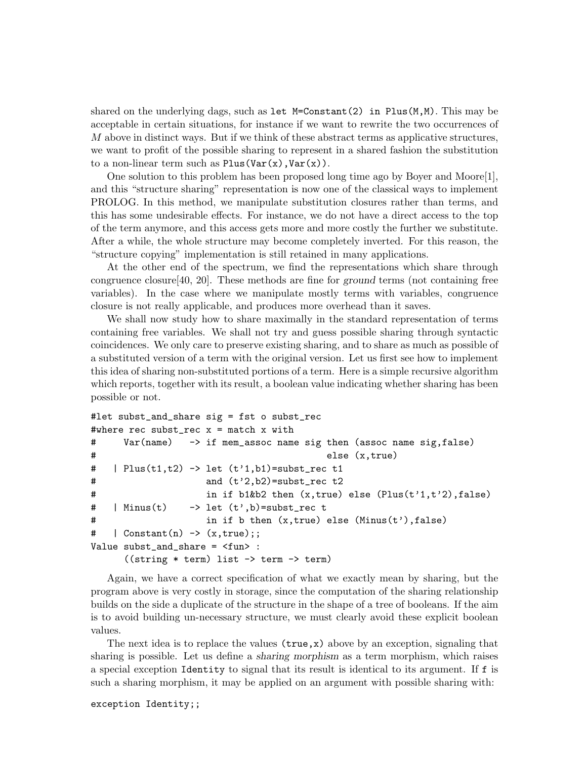shared on the underlying dags, such as let  $M=Constant(2)$  in Plus $(M,M)$ . This may be acceptable in certain situations, for instance if we want to rewrite the two occurrences of M above in distinct ways. But if we think of these abstract terms as applicative structures, we want to profit of the possible sharing to represent in a shared fashion the substitution to a non-linear term such as  $Plus(Var(x),Var(x))$ .

One solution to this problem has been proposed long time ago by Boyer and Moore[1], and this "structure sharing" representation is now one of the classical ways to implement PROLOG. In this method, we manipulate substitution closures rather than terms, and this has some undesirable effects. For instance, we do not have a direct access to the top of the term anymore, and this access gets more and more costly the further we substitute. After a while, the whole structure may become completely inverted. For this reason, the "structure copying" implementation is still retained in many applications.

At the other end of the spectrum, we find the representations which share through congruence closure[40, 20]. These methods are fine for ground terms (not containing free variables). In the case where we manipulate mostly terms with variables, congruence closure is not really applicable, and produces more overhead than it saves.

We shall now study how to share maximally in the standard representation of terms containing free variables. We shall not try and guess possible sharing through syntactic coincidences. We only care to preserve existing sharing, and to share as much as possible of a substituted version of a term with the original version. Let us first see how to implement this idea of sharing non-substituted portions of a term. Here is a simple recursive algorithm which reports, together with its result, a boolean value indicating whether sharing has been possible or not.

```
#let subst_and_share sig = fst o subst_rec
#where rec subst_rec x = match x with
# Var(name) -> if mem_assoc name sig then (assoc name sig,false)
# else (x,true)
# | Plus(t1,t2) \rightarrow let (t'1,b1)=subst_rec t1
# and (t'2,b2)=subst_rec t2
# in if b1&b2 then (x,true) else (Plus(t'1,t'2),false)
# | Minus(t) \rightarrow let (t',b)=subst_rec t
# in if b then (x,true) else (Minus(t'),false)
\#   | Constant(n) -> (x, true);
Value subst_and_share = <fun> :
     ((string * term) list -> term -> term)
```
Again, we have a correct specification of what we exactly mean by sharing, but the program above is very costly in storage, since the computation of the sharing relationship builds on the side a duplicate of the structure in the shape of a tree of booleans. If the aim is to avoid building un-necessary structure, we must clearly avoid these explicit boolean values.

The next idea is to replace the values  $(\text{true}, x)$  above by an exception, signaling that sharing is possible. Let us define a sharing morphism as a term morphism, which raises a special exception Identity to signal that its result is identical to its argument. If f is such a sharing morphism, it may be applied on an argument with possible sharing with:

exception Identity;;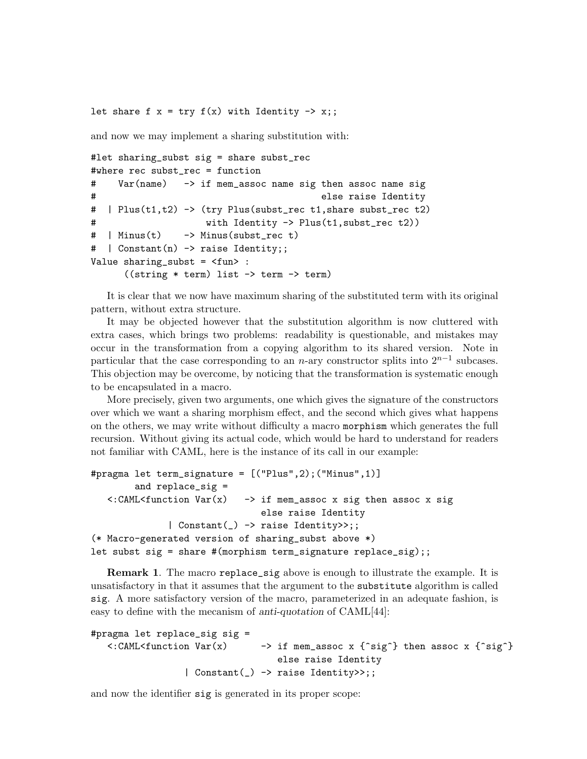let share f  $x = try f(x)$  with Identity  $\rightarrow x$ ;;

and now we may implement a sharing substitution with:

```
#let sharing_subst sig = share subst_rec
#where rec subst_rec = function
# Var(name) -> if mem_assoc name sig then assoc name sig
# else raise Identity
# | Plus(t1,t2) -> (try Plus(subst_rec t1,share subst_rec t2)
# with Identity -> Plus(t1,subst_rec t2))
# | Minus(t) -> Minus(subst_rec t)
# | Constant(n) -> raise Identity;;
Value sharing_subst = <fun> :
     ((string * term) list -> term -> term)
```
It is clear that we now have maximum sharing of the substituted term with its original pattern, without extra structure.

It may be objected however that the substitution algorithm is now cluttered with extra cases, which brings two problems: readability is questionable, and mistakes may occur in the transformation from a copying algorithm to its shared version. Note in particular that the case corresponding to an n-ary constructor splits into  $2^{n-1}$  subcases. This objection may be overcome, by noticing that the transformation is systematic enough to be encapsulated in a macro.

More precisely, given two arguments, one which gives the signature of the constructors over which we want a sharing morphism effect, and the second which gives what happens on the others, we may write without difficulty a macro morphism which generates the full recursion. Without giving its actual code, which would be hard to understand for readers not familiar with CAML, here is the instance of its call in our example:

```
#pragma let term_signature = [("Plus",2);("Minus",1)]
        and replace_sig =
   \langle:CAML\langlefunction Var(x) -> if mem_assoc x sig then assoc x sig
                                else raise Identity
               | Constant(_) -> raise Identity>>;;
(* Macro-generated version of sharing_subst above *)
let subst sig = share #(morphism term_signature replace_sig);;
```
**Remark 1.** The macro replace\_sig above is enough to illustrate the example. It is unsatisfactory in that it assumes that the argument to the substitute algorithm is called sig. A more satisfactory version of the macro, parameterized in an adequate fashion, is easy to define with the mecanism of anti-quotation of CAML[44]:

```
#pragma let replace_sig sig =
   \langle:CAML\langlefunction Var(x) -> if mem_assoc x {\hat{ }sig\hat{ }} then assoc x {\hat{ }sig\hat{ }}
                                         else raise Identity
                    | Constant(_) -> raise Identity>>;;
```
and now the identifier sig is generated in its proper scope: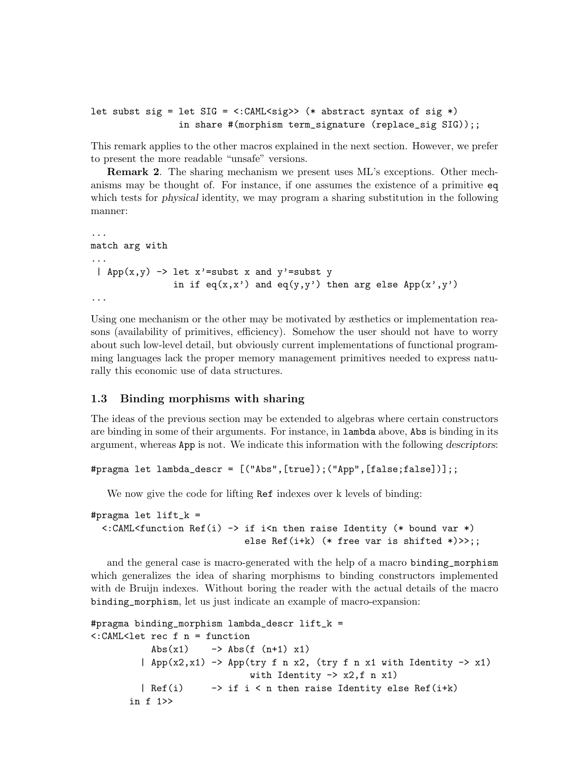```
let subst sig = let SIG = \langle:CAML\langlesig>> (* abstract syntax of sig *)
                 in share #(morphism term_signature (replace_sig SIG));;
```
This remark applies to the other macros explained in the next section. However, we prefer to present the more readable "unsafe" versions.

Remark 2. The sharing mechanism we present uses ML's exceptions. Other mechanisms may be thought of. For instance, if one assumes the existence of a primitive eq which tests for *physical* identity, we may program a sharing substitution in the following manner:

```
...
match arg with
...
 | App(x,y) \rightarrow let x'=subst x and y'=subst y
                in if eq(x,x') and eq(y,y') then arg else App(x',y')...
```
Using one mechanism or the other may be motivated by æsthetics or implementation reasons (availability of primitives, efficiency). Somehow the user should not have to worry about such low-level detail, but obviously current implementations of functional programming languages lack the proper memory management primitives needed to express naturally this economic use of data structures.

## 1.3 Binding morphisms with sharing

The ideas of the previous section may be extended to algebras where certain constructors are binding in some of their arguments. For instance, in lambda above, Abs is binding in its argument, whereas App is not. We indicate this information with the following descriptors:

```
#pragma let lambda_descr = [("Abs",[true]);("App",[false;false])];;
```
We now give the code for lifting Ref indexes over k levels of binding:

```
#pragma let lift_k =
  \langle:CAML\langlefunction Ref(i) -> if i\langlen then raise Identity (* bound var *)
                                else Ref(i+k) (* free var is shifted *)>>;;
```
and the general case is macro-generated with the help of a macro binding\_morphism which generalizes the idea of sharing morphisms to binding constructors implemented with de Bruijn indexes. Without boring the reader with the actual details of the macro binding\_morphism, let us just indicate an example of macro-expansion:

```
#pragma binding_morphism lambda_descr lift_k =
<:CAML<let rec f n = function
            Abs(x1) \longrightarrow Abs(f(n+1) x1)| App(x2,x1) \rightarrow App(try f n x2, (try f n x1 with Identity \rightarrow x1)
                                with Identity \rightarrow x2, f n x1)
          | Ref(i) -> if i < n then raise Identity else Ref(i+k)in f 1>>
```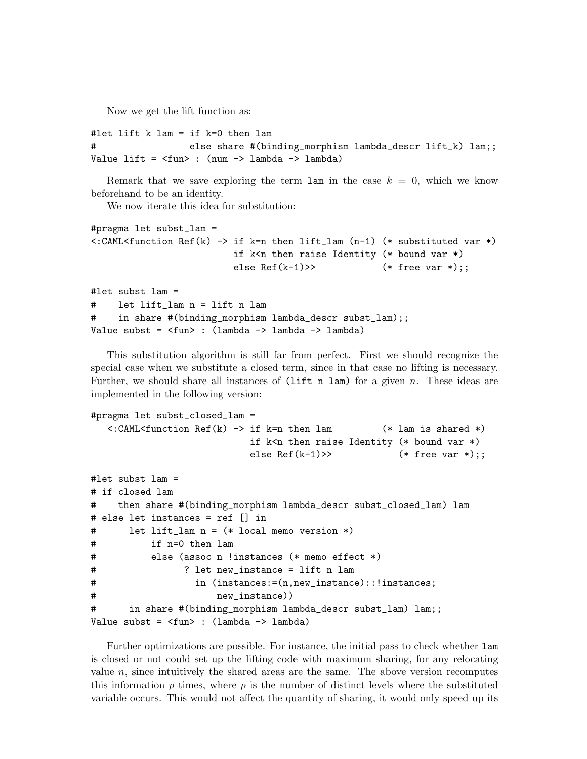Now we get the lift function as:

```
#let lift k lam = if k=0 then lam
# else share #(binding_morphism lambda_descr lift_k) lam;;
Value lift = \timesfun> : (num \rightarrow lambda \rightarrow lambda)
```
Remark that we save exploring the term  $\tan$  in the case  $k = 0$ , which we know beforehand to be an identity.

We now iterate this idea for substitution:

```
#pragma let subst_lam =
\lt:CAML\ltfunction Ref(k) -> if k=n then lift_lam (n-1) (* substituted var *)
                        if k\leq n then raise Identity (* bound var *)
                        else Ref(k-1)>> (*);
#let subst lam =
# let lift_lam n = lift n lam
# in share #(binding_morphism lambda_descr subst_lam);;
Value subst = <fun> : (lambda -> lambda -> lambda)
```
This substitution algorithm is still far from perfect. First we should recognize the special case when we substitute a closed term, since in that case no lifting is necessary. Further, we should share all instances of  $(i$ ift n lam) for a given n. These ideas are implemented in the following version:

```
#pragma let subst_closed_lam =
  \lt:CAML\ltfunction Ref(k) -> if k=n then lam (* lam is shared *)
                         if k<n then raise Identity (* bound var *)
                         else Ref(k-1)>> (*) (* free var *);;
#let subst lam =
# if closed lam
# then share #(binding_morphism lambda_descr subst_closed_lam) lam
# else let instances = ref [] in
# let lift_lam n = (* local memo version *)
# if n=0 then lam
# else (assoc n !instances (* memo effect *)
# ? let new_instance = lift n lam
# in (instances:=(n,new_instance)::!instances;
# new_instance))
# in share #(binding_morphism lambda_descr subst_lam) lam;;
Value subst = \timesfun> : (lambda -> lambda)
```
Further optimizations are possible. For instance, the initial pass to check whether lam is closed or not could set up the lifting code with maximum sharing, for any relocating value  $n$ , since intuitively the shared areas are the same. The above version recomputes this information  $p$  times, where  $p$  is the number of distinct levels where the substituted variable occurs. This would not affect the quantity of sharing, it would only speed up its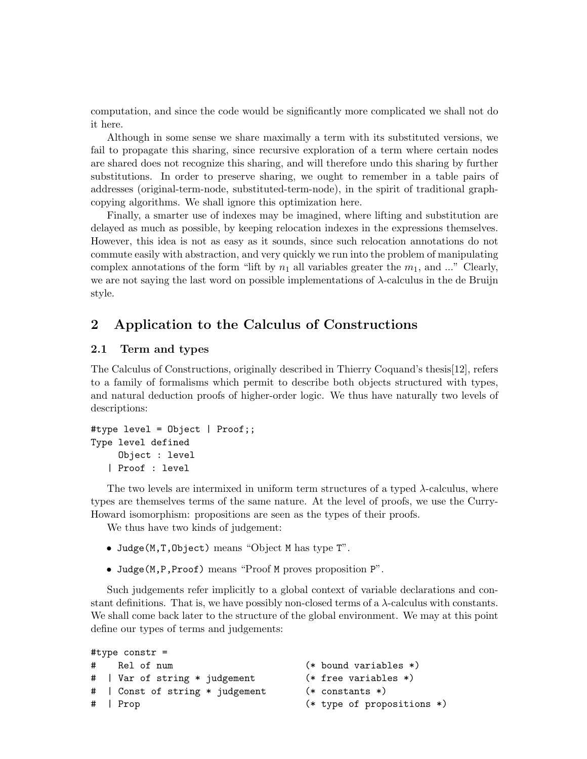computation, and since the code would be significantly more complicated we shall not do it here.

Although in some sense we share maximally a term with its substituted versions, we fail to propagate this sharing, since recursive exploration of a term where certain nodes are shared does not recognize this sharing, and will therefore undo this sharing by further substitutions. In order to preserve sharing, we ought to remember in a table pairs of addresses (original-term-node, substituted-term-node), in the spirit of traditional graphcopying algorithms. We shall ignore this optimization here.

Finally, a smarter use of indexes may be imagined, where lifting and substitution are delayed as much as possible, by keeping relocation indexes in the expressions themselves. However, this idea is not as easy as it sounds, since such relocation annotations do not commute easily with abstraction, and very quickly we run into the problem of manipulating complex annotations of the form "lift by  $n_1$  all variables greater the  $m_1$ , and ..." Clearly, we are not saying the last word on possible implementations of  $\lambda$ -calculus in the de Bruijn style.

# 2 Application to the Calculus of Constructions

## 2.1 Term and types

The Calculus of Constructions, originally described in Thierry Coquand's thesis[12], refers to a family of formalisms which permit to describe both objects structured with types, and natural deduction proofs of higher-order logic. We thus have naturally two levels of descriptions:

```
#type level = Object | Proof;;
Type level defined
     Object : level
   | Proof : level
```
The two levels are intermixed in uniform term structures of a typed  $\lambda$ -calculus, where types are themselves terms of the same nature. At the level of proofs, we use the Curry-Howard isomorphism: propositions are seen as the types of their proofs.

We thus have two kinds of judgement:

- Judge(M,T,Object) means "Object M has type T".
- Judge(M,P,Proof) means "Proof M proves proposition P".

Such judgements refer implicitly to a global context of variable declarations and constant definitions. That is, we have possibly non-closed terms of a  $\lambda$ -calculus with constants. We shall come back later to the structure of the global environment. We may at this point define our types of terms and judgements:

```
#type constr =
# Rel of num (* bound variables *)
# | Var of string * judgement (* free variables *)
# | Const of string * judgement (* constants *)
# | Prop (* type of propositions *)
```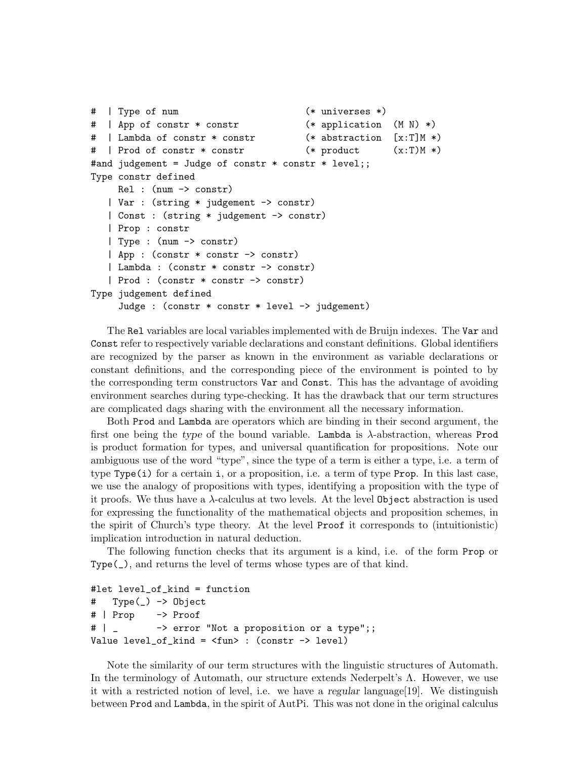```
# | Type of num (* universes *)
# | App of constr * constr (* application (M N) *)
# | Lambda of constr * constr (* abstraction [x:T]M *)
# | Prod of constr * constr (* product (x:T)M *)
#and judgement = Judge of constr * constr * level;;
Type constr defined
    Rel : (num -> constr)
   | Var : (string * judgement -> constr)
   | Const : (string * judgement -> constr)
  | Prop : constr
  | Type : (num -> constr)
   | App : (constr * constr -> constr)
   | Lambda : (constr * constr -> constr)
   | Prod : (constr * constr -> constr)
Type judgement defined
    Judge : (constr * constr * level -> judgement)
```
The Rel variables are local variables implemented with de Bruijn indexes. The Var and Const refer to respectively variable declarations and constant definitions. Global identifiers are recognized by the parser as known in the environment as variable declarations or constant definitions, and the corresponding piece of the environment is pointed to by the corresponding term constructors Var and Const. This has the advantage of avoiding environment searches during type-checking. It has the drawback that our term structures are complicated dags sharing with the environment all the necessary information.

Both Prod and Lambda are operators which are binding in their second argument, the first one being the type of the bound variable. Lambda is λ-abstraction, whereas Prod is product formation for types, and universal quantification for propositions. Note our ambiguous use of the word "type", since the type of a term is either a type, i.e. a term of type Type(i) for a certain i, or a proposition, i.e. a term of type Prop. In this last case, we use the analogy of propositions with types, identifying a proposition with the type of it proofs. We thus have a  $\lambda$ -calculus at two levels. At the level 0bject abstraction is used for expressing the functionality of the mathematical objects and proposition schemes, in the spirit of Church's type theory. At the level Proof it corresponds to (intuitionistic) implication introduction in natural deduction.

The following function checks that its argument is a kind, i.e. of the form Prop or Type(\_), and returns the level of terms whose types are of that kind.

```
#let level_of_kind = function
# Type(_) -> Object
# | Prop -> Proof
# | _ -> error "Not a proposition or a type";;
Value level_of_kind = <fun> : (constr -> level)
```
Note the similarity of our term structures with the linguistic structures of Automath. In the terminology of Automath, our structure extends Nederpelt's Λ. However, we use it with a restricted notion of level, i.e. we have a regular language[19]. We distinguish between Prod and Lambda, in the spirit of AutPi. This was not done in the original calculus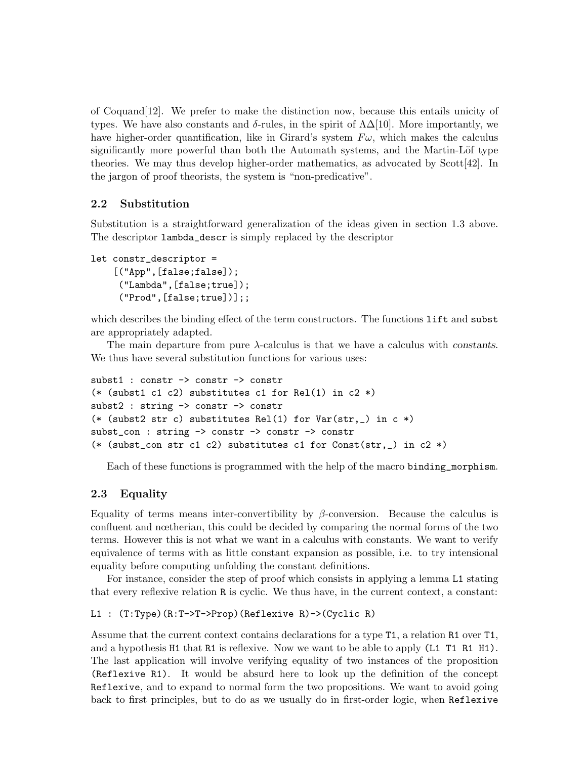of Coquand[12]. We prefer to make the distinction now, because this entails unicity of types. We have also constants and δ-rules, in the spirit of  $\Lambda\Delta[10]$ . More importantly, we have higher-order quantification, like in Girard's system  $F\omega$ , which makes the calculus significantly more powerful than both the Automath systems, and the Martin-Löf type theories. We may thus develop higher-order mathematics, as advocated by Scott[42]. In the jargon of proof theorists, the system is "non-predicative".

# 2.2 Substitution

Substitution is a straightforward generalization of the ideas given in section 1.3 above. The descriptor lambda\_descr is simply replaced by the descriptor

```
let constr_descriptor =
    [("App",[false;false]);
     ("Lambda",[false;true]);
     ("Prod",[false;true])];;
```
which describes the binding effect of the term constructors. The functions lift and subst are appropriately adapted.

The main departure from pure  $\lambda$ -calculus is that we have a calculus with constants. We thus have several substitution functions for various uses:

```
subst1 : constr -> constr -> constr
(* (subst1 c1 c2) substitutes c1 for Rel(1) in c2 *)subst2 : string -> constr -> constr
(* (subst2 str c) substitutes Rel(1) for Var(str, ) in c *)
subst_con : string -> constr -> constr -> constr
(* (subst_con str c1 c2) substitutes c1 for Const(str,_) in c2 *)
```
Each of these functions is programmed with the help of the macro binding\_morphism.

# 2.3 Equality

Equality of terms means inter-convertibility by β-conversion. Because the calculus is confluent and nœtherian, this could be decided by comparing the normal forms of the two terms. However this is not what we want in a calculus with constants. We want to verify equivalence of terms with as little constant expansion as possible, i.e. to try intensional equality before computing unfolding the constant definitions.

For instance, consider the step of proof which consists in applying a lemma L1 stating that every reflexive relation R is cyclic. We thus have, in the current context, a constant:

```
L1 : (T:Type)(R:T->T->Prop)(Reflexive R)->(Cyclic R)
```
Assume that the current context contains declarations for a type T1, a relation R1 over T1, and a hypothesis H1 that R1 is reflexive. Now we want to be able to apply (L1 T1 R1 H1). The last application will involve verifying equality of two instances of the proposition (Reflexive R1). It would be absurd here to look up the definition of the concept Reflexive, and to expand to normal form the two propositions. We want to avoid going back to first principles, but to do as we usually do in first-order logic, when Reflexive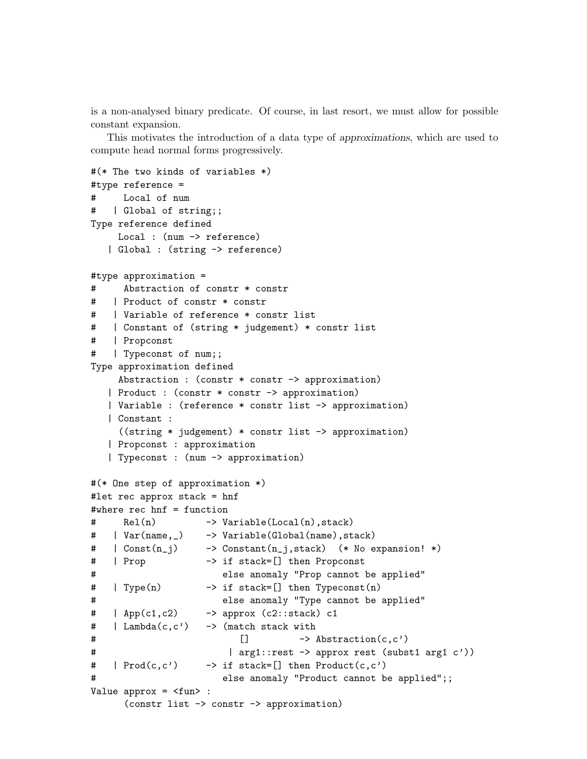is a non-analysed binary predicate. Of course, in last resort, we must allow for possible constant expansion.

This motivates the introduction of a data type of approximations, which are used to compute head normal forms progressively.

```
#(* The two kinds of variables *)
#type reference =
# Local of num
    | Global of string;;
Type reference defined
     Local : (num -> reference)
   | Global : (string -> reference)
#type approximation =
# Abstraction of constr * constr
# | Product of constr * constr
# | Variable of reference * constr list
# | Constant of (string * judgement) * constr list
# | Propconst
# | Typeconst of num;;
Type approximation defined
     Abstraction : (constr * constr -> approximation)
   | Product : (constr * constr -> approximation)
   | Variable : (reference * constr list -> approximation)
   | Constant :
     ((string * judgement) * constr list -> approximation)
   | Propconst : approximation
   | Typeconst : (num -> approximation)
#(* One step of approximation *)
#let rec approx stack = hnf
#where rec hnf = function
# Rel(n) -> Variable(Local(n),stack)
# | Var(name,_) -> Variable(Global(name),stack)
# | Const(n_j) -> Constant(n_j,stack) (* No expansion! *)
# | Prop -> if stack=[] then Propconst
# else anomaly "Prop cannot be applied"
# | Type(n) -> if stack=[] then Typeconst(n)
# else anomaly "Type cannot be applied"
\# | App(c1,c2) \longrightarrow approx (c2::stack) c1
# | Lambda(c,c') -> (match stack with
\sharp \qquad \qquad \qquad \qquad \qquad \qquad \qquad \qquad \qquad \qquad \qquad \qquad \qquad \qquad \qquad \qquad \qquad \qquad \qquad \qquad \qquad \qquad \qquad \qquad \qquad \qquad \qquad \qquad \qquad \qquad \qquad \qquad \qquad \qquad \qquad \qquad \qquad \qquad \qquad \qquad \qquad \qquad \qquad \qquad \qquad \qquad \qquad \qquad 
# | arg1::rest -> approx rest (subst1 arg1 c'))
# | Prod(c,c') \rightarrow if stack=[] then Product(c,c')
# else anomaly "Product cannot be applied";;
Value approx = <fun> :
      (constr list -> constr -> approximation)
```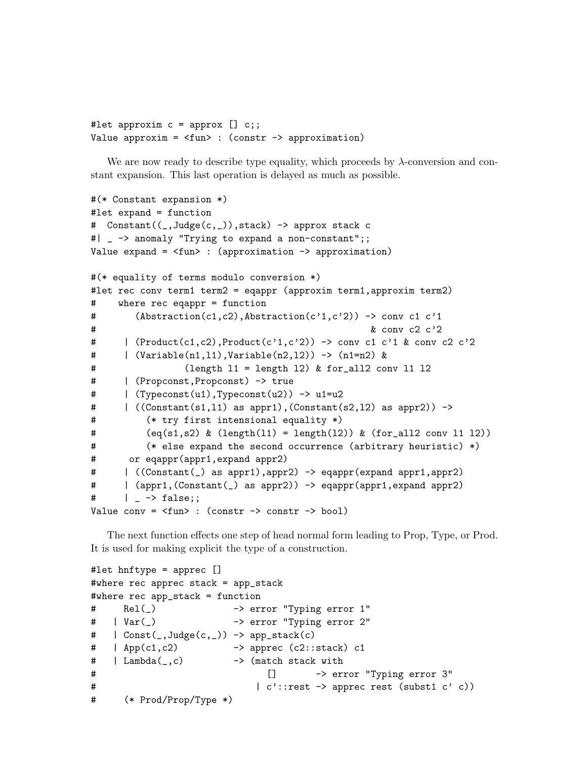```
#let approxim c = approx [] c;;
Value approxim = \tan : (constr -> approximation)
```
We are now ready to describe type equality, which proceeds by  $\lambda$ -conversion and constant expansion. This last operation is delayed as much as possible.

```
#(* Constant expansion *)
#let expand = function
# Constant((_,Judge(c,_)),stack) -> approx stack c
#| _ -> anomaly "Trying to expand a non-constant";;
Value expand = <fun> : (approximation -> approximation)
#(* equality of terms modulo conversion *)
#let rec conv term1 term2 = eqappr (approxim term1,approxim term2)
# where rec eqappr = function
# (Abstraction(c1,c2),Abstraction(c'1,c'2)) -> conv c1 c'1
# & conv c2 c'2
# | (Product(c1,c2),Product(c'1,c'2)) -> conv c1 c'1 & conv c2 c'2
# | (Variable(n1,l1),Variable(n2,l2)) -> (n1=n2) &
# (length l1 = length l2) & for_all2 conv l1 l2
# | (Propconst,Propconst) -> true
# | (Typeconst(u1),Typeconst(u2)) -> u1=u2
\# | ((Constant(s1,11) as appr1),(Constant(s2,12) as appr2)) ->
# (* try first intensional equality *)
# (eq(s1, s2) \& (length(11) = length(12)) \& (for_all2 conv 11 12))# (* else expand the second occurrence (arbitrary heuristic) *)
# or eqappr(appr1,expand appr2)
# | ((Constant(_) as appr1),appr2) -> eqappr(expand appr1,appr2)
# | (appr1,(Constant(_) as appr2)) -> eqappr(appr1,expand appr2)
\#  | \rightarrow false;;
Value conv = <fun> : (constr -> constr -> bool)
```
The next function effects one step of head normal form leading to Prop, Type, or Prod. It is used for making explicit the type of a construction.

```
#let hnftype = apprec []
#where rec apprec stack = app_stack
#where rec app_stack = function
# Rel(_) -> error "Typing error 1"
# | Var(_) -> error "Typing error 2"
# | Const(_,Judge(c,_)) -> app_stack(c)
\# | App(c1,c2) -> apprec (c2::stack) c1
\# | Lambda(\_c) \rightarrow (match stack with
# [] -> error "Typing error 3"
# | c'::rest -> apprec rest (subst1 c' c))
# (* Prod/Prop/Type *)
```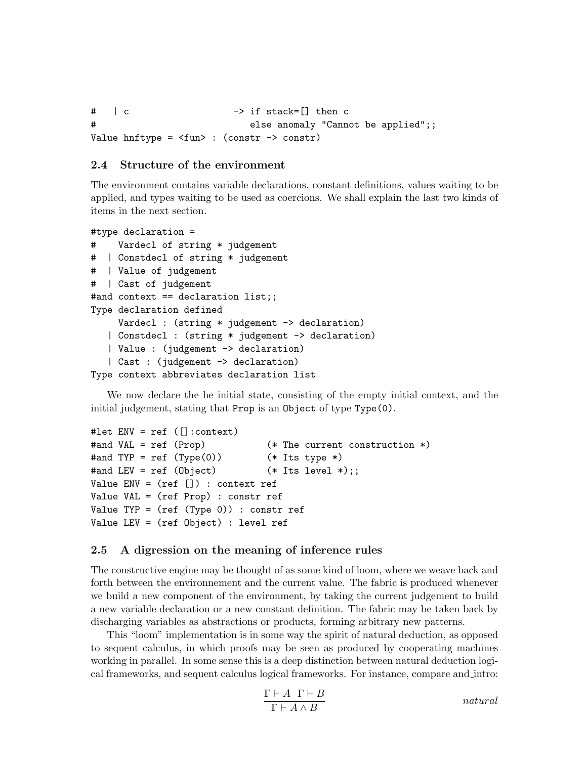```
\# | c \qquad \qquad -> if stack=[] then c
# else anomaly "Cannot be applied";;
Value hnftype = \timesfun> : (constr -> constr)
```
## 2.4 Structure of the environment

The environment contains variable declarations, constant definitions, values waiting to be applied, and types waiting to be used as coercions. We shall explain the last two kinds of items in the next section.

```
#type declaration =
# Vardecl of string * judgement
# | Constdecl of string * judgement
# | Value of judgement
# | Cast of judgement
#and context == declaration list;;
Type declaration defined
     Vardecl : (string * judgement -> declaration)
   | Constdecl : (string * judgement -> declaration)
   | Value : (judgement -> declaration)
   | Cast : (judgement -> declaration)
Type context abbreviates declaration list
```
We now declare the he initial state, consisting of the empty initial context, and the initial judgement, stating that Prop is an Object of type Type(0).

```
#let ENV = ref ([]:context)
#and VAL = ref (Prop) (* The current construction *)
#and TYP = ref (Type(0)) (*) Its type *)
#and LEV = ref (Object) (*);
Value ENV = (ref) : context ref
Value VAL = (ref Prop) : constr ref
Value TYP = (ref (Type 0)) : constr ref
Value LEV = (ref Object) : level ref
```
#### 2.5 A digression on the meaning of inference rules

The constructive engine may be thought of as some kind of loom, where we weave back and forth between the environnement and the current value. The fabric is produced whenever we build a new component of the environment, by taking the current judgement to build a new variable declaration or a new constant definition. The fabric may be taken back by discharging variables as abstractions or products, forming arbitrary new patterns.

This "loom" implementation is in some way the spirit of natural deduction, as opposed to sequent calculus, in which proofs may be seen as produced by cooperating machines working in parallel. In some sense this is a deep distinction between natural deduction logical frameworks, and sequent calculus logical frameworks. For instance, compare and intro:

$$
\frac{\Gamma \vdash A \ \Gamma \vdash B}{\Gamma \vdash A \land B} \qquad \qquad natural
$$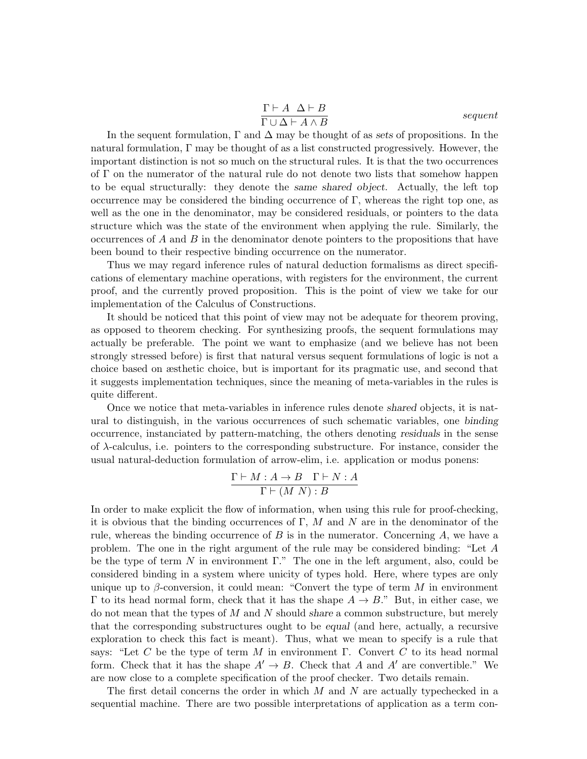$$
\frac{\Gamma \vdash A \ \Delta \vdash B}{\Gamma \cup \Delta \vdash A \land B}
$$
 *sequent*

In the sequent formulation,  $\Gamma$  and  $\Delta$  may be thought of as sets of propositions. In the natural formulation, Γ may be thought of as a list constructed progressively. However, the important distinction is not so much on the structural rules. It is that the two occurrences of Γ on the numerator of the natural rule do not denote two lists that somehow happen to be equal structurally: they denote the same shared object. Actually, the left top occurrence may be considered the binding occurrence of  $\Gamma$ , whereas the right top one, as well as the one in the denominator, may be considered residuals, or pointers to the data structure which was the state of the environment when applying the rule. Similarly, the occurrences of  $A$  and  $B$  in the denominator denote pointers to the propositions that have been bound to their respective binding occurrence on the numerator.

Thus we may regard inference rules of natural deduction formalisms as direct specifications of elementary machine operations, with registers for the environment, the current proof, and the currently proved proposition. This is the point of view we take for our implementation of the Calculus of Constructions.

It should be noticed that this point of view may not be adequate for theorem proving, as opposed to theorem checking. For synthesizing proofs, the sequent formulations may actually be preferable. The point we want to emphasize (and we believe has not been strongly stressed before) is first that natural versus sequent formulations of logic is not a choice based on æsthetic choice, but is important for its pragmatic use, and second that it suggests implementation techniques, since the meaning of meta-variables in the rules is quite different.

Once we notice that meta-variables in inference rules denote shared objects, it is natural to distinguish, in the various occurrences of such schematic variables, one binding occurrence, instanciated by pattern-matching, the others denoting residuals in the sense of  $\lambda$ -calculus, i.e. pointers to the corresponding substructure. For instance, consider the usual natural-deduction formulation of arrow-elim, i.e. application or modus ponens:

$$
\frac{\Gamma \vdash M : A \to B \quad \Gamma \vdash N : A}{\Gamma \vdash (M \ N) : B}
$$

In order to make explicit the flow of information, when using this rule for proof-checking, it is obvious that the binding occurrences of  $\Gamma$ , M and N are in the denominator of the rule, whereas the binding occurrence of  $B$  is in the numerator. Concerning  $A$ , we have a problem. The one in the right argument of the rule may be considered binding: "Let A be the type of term N in environment  $\Gamma$ ." The one in the left argument, also, could be considered binding in a system where unicity of types hold. Here, where types are only unique up to  $\beta$ -conversion, it could mean: "Convert the type of term M in environment Γ to its head normal form, check that it has the shape  $A \to B$ ." But, in either case, we do not mean that the types of  $M$  and  $N$  should share a common substructure, but merely that the corresponding substructures ought to be equal (and here, actually, a recursive exploration to check this fact is meant). Thus, what we mean to specify is a rule that says: "Let C be the type of term M in environment  $\Gamma$ . Convert C to its head normal form. Check that it has the shape  $A' \to B$ . Check that A and A' are convertible." We are now close to a complete specification of the proof checker. Two details remain.

The first detail concerns the order in which  $M$  and  $N$  are actually typechecked in a sequential machine. There are two possible interpretations of application as a term con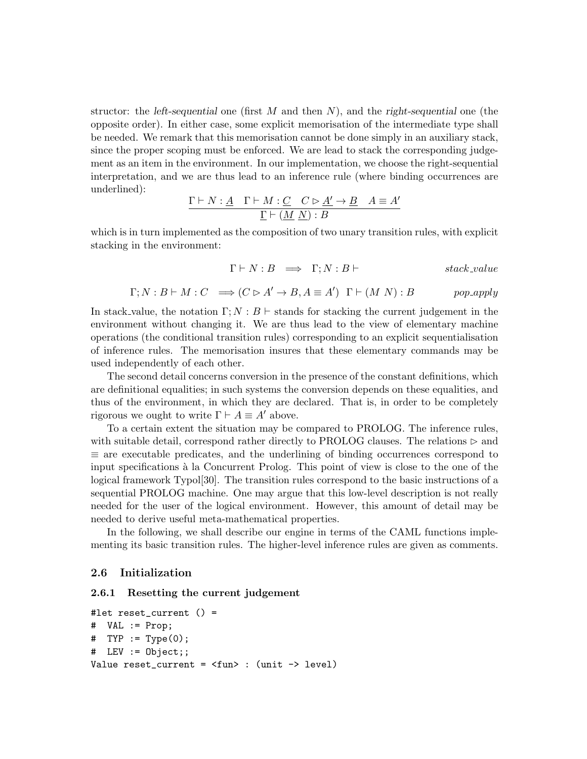structor: the *left-sequential* one (first  $M$  and then  $N$ ), and the *right-sequential* one (the opposite order). In either case, some explicit memorisation of the intermediate type shall be needed. We remark that this memorisation cannot be done simply in an auxiliary stack, since the proper scoping must be enforced. We are lead to stack the corresponding judgement as an item in the environment. In our implementation, we choose the right-sequential interpretation, and we are thus lead to an inference rule (where binding occurrences are underlined):

$$
\frac{\Gamma \vdash N: \underline{A} \quad \Gamma \vdash M: \underline{C} \quad C \rhd \underline{A'} \to \underline{B} \quad A \equiv A'}{\underline{\Gamma} \vdash (\underline{M} \ \underline{N}): \underline{B}}
$$

which is in turn implemented as the composition of two unary transition rules, with explicit stacking in the environment:

$$
\Gamma \vdash N : B \implies \Gamma; N : B \vdash
$$
 stack\_value

$$
\Gamma; N: B \vdash M: C \implies (C \rhd A' \to B, A \equiv A') \quad \Gamma \vdash (M \ N): B \qquad \text{pop\_apply}
$$

In stack value, the notation  $\Gamma; N: B \vdash$  stands for stacking the current judgement in the environment without changing it. We are thus lead to the view of elementary machine operations (the conditional transition rules) corresponding to an explicit sequentialisation of inference rules. The memorisation insures that these elementary commands may be used independently of each other.

The second detail concerns conversion in the presence of the constant definitions, which are definitional equalities; in such systems the conversion depends on these equalities, and thus of the environment, in which they are declared. That is, in order to be completely rigorous we ought to write  $\Gamma \vdash A \equiv A'$  above.

To a certain extent the situation may be compared to PROLOG. The inference rules, with suitable detail, correspond rather directly to PROLOG clauses. The relations  $\triangleright$  and  $\equiv$  are executable predicates, and the underlining of binding occurrences correspond to input specifications à la Concurrent Prolog. This point of view is close to the one of the logical framework Typol[30]. The transition rules correspond to the basic instructions of a sequential PROLOG machine. One may argue that this low-level description is not really needed for the user of the logical environment. However, this amount of detail may be needed to derive useful meta-mathematical properties.

In the following, we shall describe our engine in terms of the CAML functions implementing its basic transition rules. The higher-level inference rules are given as comments.

#### 2.6 Initialization

#### 2.6.1 Resetting the current judgement

```
#let reset_current () =
# VAL := Prop;
# TYP := Type(0);
# LEV := Object;;
Value reset_current = <fun> : (unit -> level)
```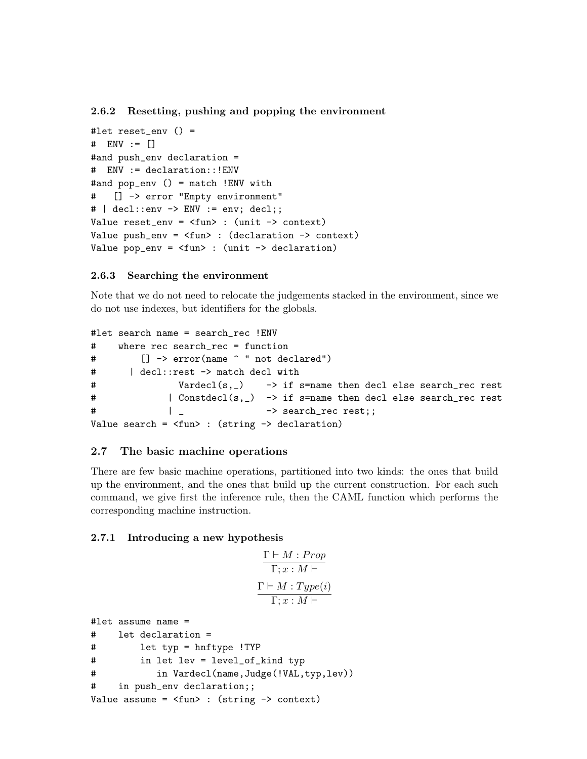2.6.2 Resetting, pushing and popping the environment

```
#let reset_env () =
# ENV := \lceil#and push_env declaration =
# ENV := declaration::!ENV
#and pop_env () = match !ENV with
# [] -> error "Empty environment"
# | decl::env \rightarrow ENV := env; decl;;
Value reset_env = <fun> : (unit -> context)
Value push\_env = \langle fun \rangle: (declaration \rightarrow context)
Value pop_env = <fun> : (unit -> declaration)
```
#### 2.6.3 Searching the environment

Note that we do not need to relocate the judgements stacked in the environment, since we do not use indexes, but identifiers for the globals.

```
#let search name = search_rec !ENV
# where rec search_rec = function
# [] -> error(name ^ " not declared")
# | decl::rest -> match decl with
# Vardecl(s,_) -> if s=name then decl else search_rec rest
# | Constdecl(s,_) -> if s=name then decl else search_rec rest
# \qquad \qquad \qquad \qquad -> search_rec rest;;
Value search = <fun> : (string -> declaration)
```
#### 2.7 The basic machine operations

There are few basic machine operations, partitioned into two kinds: the ones that build up the environment, and the ones that build up the current construction. For each such command, we give first the inference rule, then the CAML function which performs the corresponding machine instruction.

#### 2.7.1 Introducing a new hypothesis

$$
\frac{\Gamma \vdash M : Prop}{\Gamma ; x : M \vdash}
$$
\n
$$
\frac{\Gamma \vdash M : Type(i)}{\Gamma ; x : M \vdash}
$$

```
#let assume name =
# let declaration =
# let typ = hnftype !TYP
# in let lev = level_of_kind typ
# in Vardecl(name,Judge(!VAL,typ,lev))
# in push_env declaration;;
Value assume = \tan : (string \rightarrow context)
```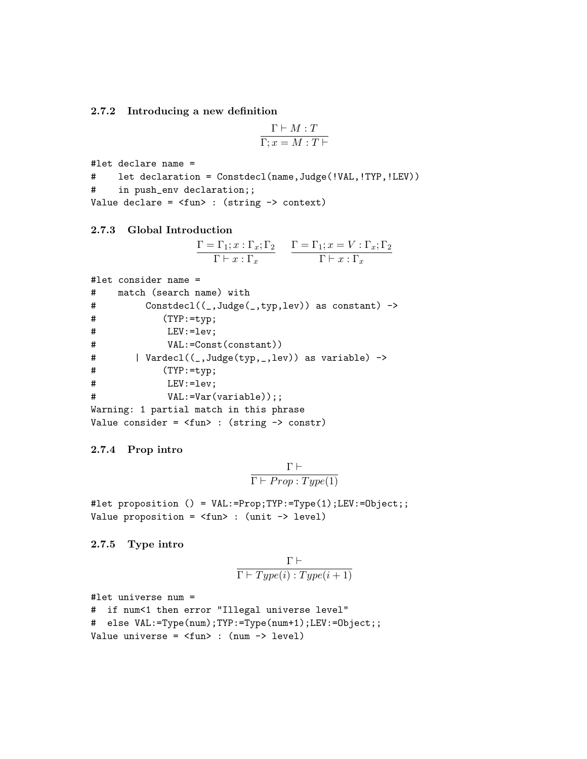2.7.2 Introducing a new definition

$$
\frac{\Gamma \vdash M : T}{\Gamma; x = M : T \vdash}
$$

```
#let declare name =
# let declaration = Constdecl(name,Judge(!VAL,!TYP,!LEV))
# in push_env declaration;;
Value declare = \timesfun> : (string \rightarrow context)
```

```
2.7.3 Global Introduction
```

$$
\frac{\Gamma = \Gamma_1; x : \Gamma_x; \Gamma_2}{\Gamma \vdash x : \Gamma_x} \qquad \frac{\Gamma = \Gamma_1; x = V : \Gamma_x; \Gamma_2}{\Gamma \vdash x : \Gamma_x}
$$

```
#let consider name =
# match (search name) with
# Constdecl((_,Judge(_,typ,lev)) as constant) ->
# (TYP:=typ;
# LEV:=lev;
# VAL: = Const(constant)# | Vardecl((_,Judge(typ,_,lev)) as variable) ->
# (TYP:=typ;
# LEV:=lev;
# VAL:=Var(variable));;
Warning: 1 partial match in this phrase
Value consider = <fun> : (string -> constr)
```
#### 2.7.4 Prop intro

$$
\frac{\Gamma \vdash}{\Gamma \vdash \mathit{Prop} : \mathit{Type}(1)}
$$

#let proposition () = VAL:=Prop;TYP:=Type(1);LEV:=Object;; Value proposition = <fun> : (unit -> level)

#### 2.7.5 Type intro

$$
\frac{\Gamma\vdash}{\Gamma\vdash Type(i): Type(i+1)}
$$

#let universe num =

```
# if num<1 then error "Illegal universe level"
# else VAL:=Type(num);TYP:=Type(num+1);LEV:=Object;;
Value universe = \timesfun> : (num -> level)
```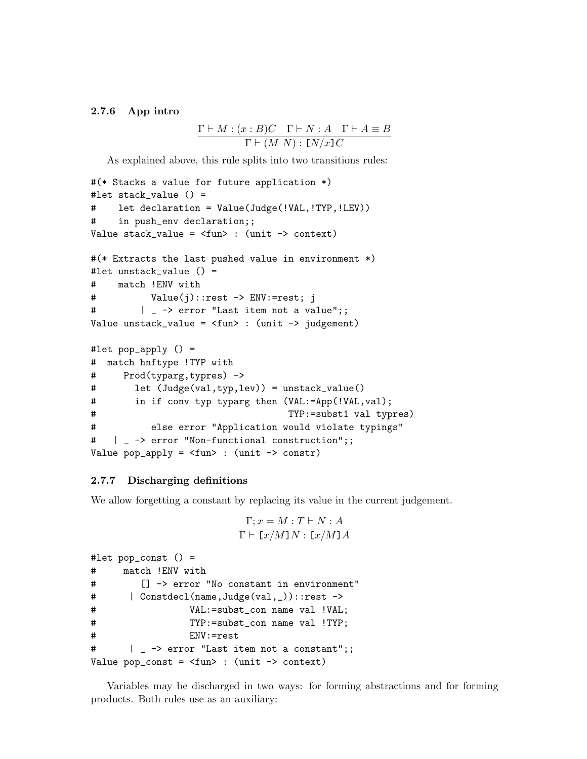#### 2.7.6 App intro

$$
\frac{\Gamma \vdash M : (x : B)C \quad \Gamma \vdash N : A \quad \Gamma \vdash A \equiv B}{\Gamma \vdash (M \ N) : \ [\!N \!/\!x\!]\!]\,C}
$$

As explained above, this rule splits into two transitions rules:

```
#(* Stacks a value for future application *)
#let stack_value () =
# let declaration = Value(Judge(!VAL,!TYP,!LEV))
# in push_env declaration;;
Value stack_value = \timesfun> : (unit -> context)
#(* Extracts the last pushed value in environment *)
#let unstack_value () =
# match !ENV with
# Value(j)::rest -> ENV:=rest; j
# | _ -> error "Last item not a value";;
Value unstack_value = \timesfun> : (unit -> judgement)
#let pop_apply () =
# match hnftype !TYP with
# Prod(typarg,typres) ->
# let (Judge(val,typ,lev)) = unstack_value()
# in if conv typ typarg then (VAL:=App(!VAL,val);
# TYP:=subst1 val typres)
# else error "Application would violate typings"
# | _ -> error "Non-functional construction";;
Value pop_apply = <fun> : (unit -> constr)
```
#### 2.7.7 Discharging definitions

We allow forgetting a constant by replacing its value in the current judgement.

$$
\frac{\Gamma; x = M : T \vdash N : A}{\Gamma \vdash [x/M]N : [x/M]A}
$$

```
#let pop_const () =
# match !ENV with
# [] -> error "No constant in environment"
# | Constdecl(name,Judge(val,_))::rest ->
# VAL:=subst_con name val !VAL;
# TYP:=subst_con name val !TYP;
# ENV:=rest
# | _ -> error "Last item not a constant";;
Value pop\_const = <fun> : (unit -> context)
```
Variables may be discharged in two ways: for forming abstractions and for forming products. Both rules use as an auxiliary: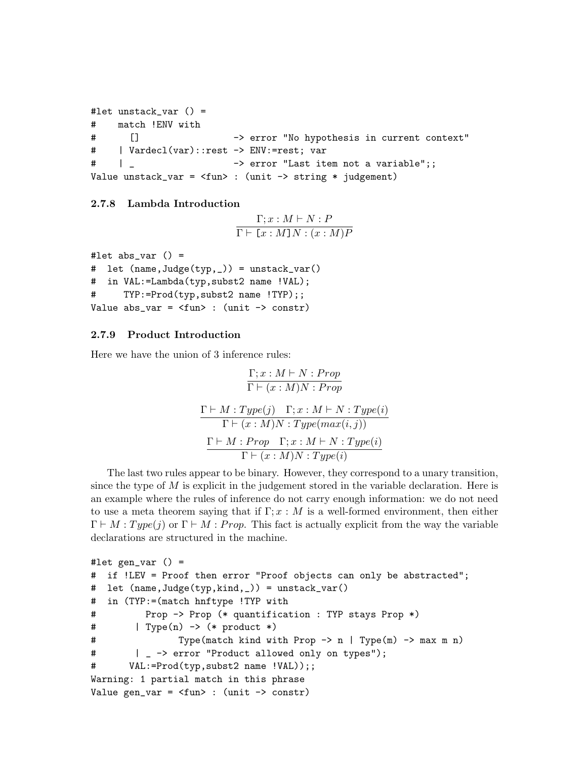```
#let unstack_var () =
# match !ENV with
# [] -> error "No hypothesis in current context"
# | Vardecl(var)::rest -> ENV:=rest; var
# | _ -> error "Last item not a variable";;
Value unstack_var = \timesfun> : (unit -> string * judgement)
```
### 2.7.8 Lambda Introduction

$$
\frac{\Gamma; x : M \vdash N : P}{\Gamma \vdash [x : M] N : (x : M) P}
$$

```
#let abs\_var () =
# let (name,Judge(typ,_)) = unstack_var()
# in VAL:=Lambda(typ,subst2 name !VAL);
# TYP:=Prod(typ,subst2 name !TYP);;
Value abs_var = \tan : (unit -> constr)
```
## 2.7.9 Product Introduction

Here we have the union of 3 inference rules:

$$
\frac{\Gamma; x : M \vdash N : Prop}{\Gamma \vdash (x : M)N : Prop}
$$
\n
$$
\frac{\Gamma \vdash M : Type(j) \quad \Gamma; x : M \vdash N : Type(i)}{\Gamma \vdash (x : M)N : Type(max(i, j))}
$$
\n
$$
\frac{\Gamma \vdash M : Prop \quad \Gamma; x : M \vdash N : Type(i)}{\Gamma \vdash (x : M)N : Type(i)}
$$

The last two rules appear to be binary. However, they correspond to a unary transition, since the type of  $M$  is explicit in the judgement stored in the variable declaration. Here is an example where the rules of inference do not carry enough information: we do not need to use a meta theorem saying that if  $\Gamma; x : M$  is a well-formed environment, then either  $\Gamma \vdash M : Type(j)$  or  $\Gamma \vdash M : Prop.$  This fact is actually explicit from the way the variable declarations are structured in the machine.

```
#let gen_var () =# if !LEV = Proof then error "Proof objects can only be abstracted";
# let (name,Judge(typ,kind,_)) = unstack_var()
# in (TYP:=(match hnftype !TYP with
# Prop -> Prop (* quantification : TYP stays Prop *)
# | Type(n) -> (* product *)
# Type(match kind with Prop -> n | Type(m) -> max m n)
# | _ -> error "Product allowed only on types");
# VAL:=Prod(typ,subst2 name !VAL));;
Warning: 1 partial match in this phrase
Value gen_var = \timesfun> : (unit -> constr)
```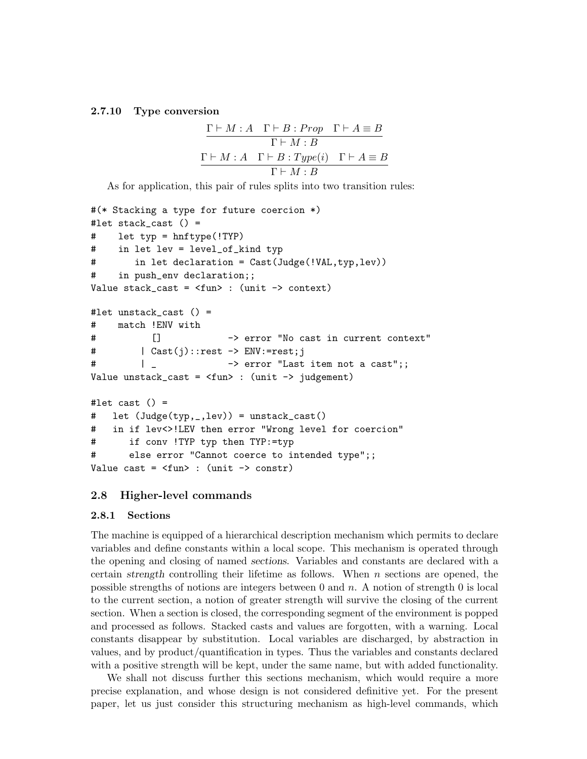#### 2.7.10 Type conversion

$$
\frac{\Gamma \vdash M : A \quad \Gamma \vdash B : Prop \quad \Gamma \vdash A \equiv B}{\Gamma \vdash M : B}
$$
\n
$$
\frac{\Gamma \vdash M : A \quad \Gamma \vdash B : Type(i) \quad \Gamma \vdash A \equiv B}{\Gamma \vdash M : B}
$$

As for application, this pair of rules splits into two transition rules:

```
#(* Stacking a type for future coercion *)
#let stack_cast () =
# let typ = hnftype(!TYP)
# in let lev = level_of_kind typ
# in let declaration = Cast(Judge(!VAL,typ,lev))
# in push_env declaration;;
Value stack_cast = \timesfun> : (unit -> context)
#let unstack_cast () =
# match !ENV with
# [] -> error "No cast in current context"
# | Cast(j)::rest -> ENV:=rest;j
# \parallel _ -> error "Last item not a cast";;
Value unstack_cast = \timesfun> : (unit -> judgement)
#let cast () =# let (Judge(typ,_,lev)) = unstack_cast()
# in if lev<>!LEV then error "Wrong level for coercion"
# if conv !TYP typ then TYP:=typ
# else error "Cannot coerce to intended type";;
Value cast = \tan : (unit -> constr)
```
## 2.8 Higher-level commands

#### 2.8.1 Sections

The machine is equipped of a hierarchical description mechanism which permits to declare variables and define constants within a local scope. This mechanism is operated through the opening and closing of named sections. Variables and constants are declared with a certain strength controlling their lifetime as follows. When  $n$  sections are opened, the possible strengths of notions are integers between 0 and n. A notion of strength 0 is local to the current section, a notion of greater strength will survive the closing of the current section. When a section is closed, the corresponding segment of the environment is popped and processed as follows. Stacked casts and values are forgotten, with a warning. Local constants disappear by substitution. Local variables are discharged, by abstraction in values, and by product/quantification in types. Thus the variables and constants declared with a positive strength will be kept, under the same name, but with added functionality.

We shall not discuss further this sections mechanism, which would require a more precise explanation, and whose design is not considered definitive yet. For the present paper, let us just consider this structuring mechanism as high-level commands, which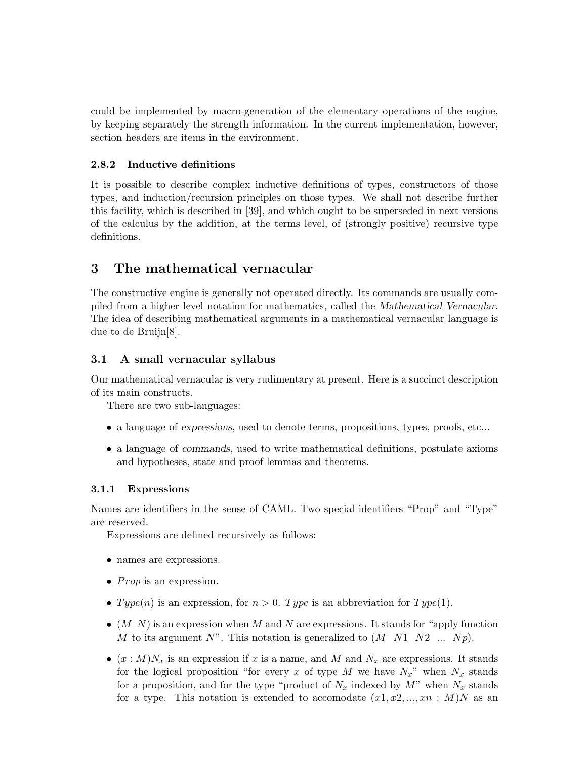could be implemented by macro-generation of the elementary operations of the engine, by keeping separately the strength information. In the current implementation, however, section headers are items in the environment.

## 2.8.2 Inductive definitions

It is possible to describe complex inductive definitions of types, constructors of those types, and induction/recursion principles on those types. We shall not describe further this facility, which is described in [39], and which ought to be superseded in next versions of the calculus by the addition, at the terms level, of (strongly positive) recursive type definitions.

# 3 The mathematical vernacular

The constructive engine is generally not operated directly. Its commands are usually compiled from a higher level notation for mathematics, called the Mathematical Vernacular. The idea of describing mathematical arguments in a mathematical vernacular language is due to de Bruijn[8].

# 3.1 A small vernacular syllabus

Our mathematical vernacular is very rudimentary at present. Here is a succinct description of its main constructs.

There are two sub-languages:

- a language of expressions, used to denote terms, propositions, types, proofs, etc...
- a language of commands, used to write mathematical definitions, postulate axioms and hypotheses, state and proof lemmas and theorems.

# 3.1.1 Expressions

Names are identifiers in the sense of CAML. Two special identifiers "Prop" and "Type" are reserved.

Expressions are defined recursively as follows:

- names are expressions.
- *Prop* is an expression.
- $Type(n)$  is an expression, for  $n > 0$ . Type is an abbreviation for Type(1).
- $(M\ N)$  is an expression when M and N are expressions. It stands for "apply function" M to its argument N". This notation is generalized to  $(M \t N1 \t N2 \t ... \t Np)$ .
- $(x : M)N_x$  is an expression if x is a name, and M and  $N_x$  are expressions. It stands for the logical proposition "for every x of type M we have  $N_x$ " when  $N_x$  stands for a proposition, and for the type "product of  $N_x$  indexed by  $M$ " when  $N_x$  stands for a type. This notation is extended to accomodate  $(x_1, x_2, ..., x_n : M)N$  as an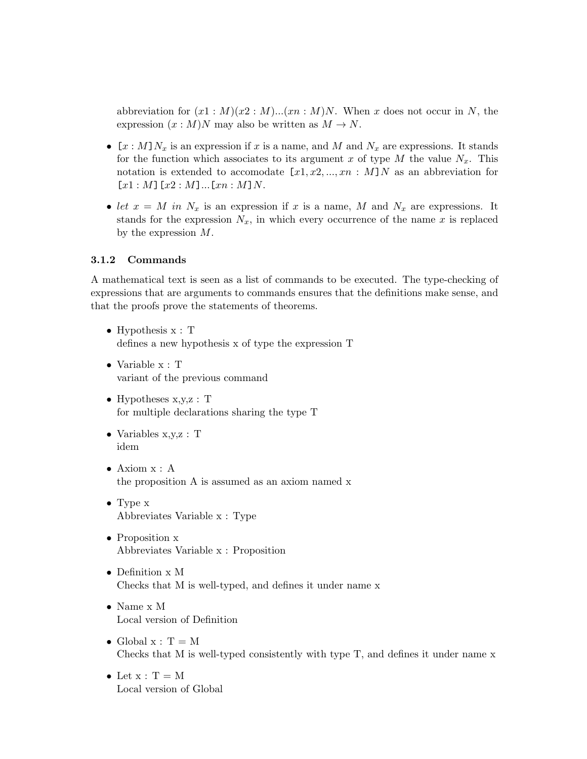abbreviation for  $(x1 : M)(x2 : M)...(xn : M)N$ . When x does not occur in N, the expression  $(x : M)N$  may also be written as  $M \to N$ .

- $[x : M]N_x$  is an expression if x is a name, and M and  $N_x$  are expressions. It stands for the function which associates to its argument x of type M the value  $N_x$ . This notation is extended to accomodate  $[x1, x2, ..., xn : M]N$  as an abbreviation for  $[x1 : M] [x2 : M] ... [xn : M]N.$
- let  $x = M$  in  $N_x$  is an expression if x is a name, M and  $N_x$  are expressions. It stands for the expression  $N_x$ , in which every occurrence of the name x is replaced by the expression M.

### 3.1.2 Commands

A mathematical text is seen as a list of commands to be executed. The type-checking of expressions that are arguments to commands ensures that the definitions make sense, and that the proofs prove the statements of theorems.

- Hypothesis  $x : T$ defines a new hypothesis x of type the expression T
- Variable x : T variant of the previous command
- Hypotheses  $x,y,z$ : T for multiple declarations sharing the type T
- Variables x,y,z : T idem
- Axiom x : A the proposition A is assumed as an axiom named x
- Type x Abbreviates Variable x : Type
- Proposition x Abbreviates Variable x : Proposition
- Definition x M Checks that M is well-typed, and defines it under name x
- Name x M Local version of Definition
- Global  $x : T = M$ Checks that M is well-typed consistently with type T, and defines it under name x
- Let  $x : T = M$ Local version of Global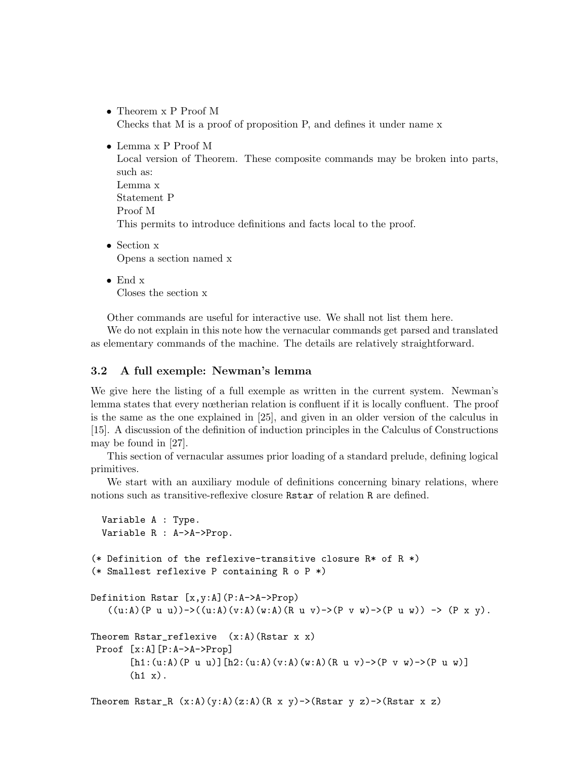- Theorem x P Proof M Checks that M is a proof of proposition P, and defines it under name x
- Lemma x P Proof M

Local version of Theorem. These composite commands may be broken into parts, such as: Lemma x Statement P Proof M This permits to introduce definitions and facts local to the proof.

- Section x Opens a section named x
- End x Closes the section x

Other commands are useful for interactive use. We shall not list them here.

We do not explain in this note how the vernacular commands get parsed and translated as elementary commands of the machine. The details are relatively straightforward.

## 3.2 A full exemple: Newman's lemma

We give here the listing of a full exemple as written in the current system. Newman's lemma states that every nœtherian relation is confluent if it is locally confluent. The proof is the same as the one explained in [25], and given in an older version of the calculus in [15]. A discussion of the definition of induction principles in the Calculus of Constructions may be found in [27].

This section of vernacular assumes prior loading of a standard prelude, defining logical primitives.

We start with an auxiliary module of definitions concerning binary relations, where notions such as transitive-reflexive closure Rstar of relation R are defined.

```
Variable A : Type.
  Variable R : A->A->Prop.
(* Definition of the reflexive-transitive closure R* of R *)
(* Smallest reflexive P containing R o P *)
Definition Rstar [x,y:A](P:A->A->Prop)
   ((u:A)(P u u))\rightarrow ((u:A)(v:A)(w:A)(R u v)\rightarrow (P v w)\rightarrow (P u w)) \rightarrow (P x y).Theorem Rstar_reflexive (x:A)(Rstar x x)Proof [x:A][P:A->A->Prop]
        [h1:(u:A)(P u u)] [h2:(u:A)(v:A)(w:A)(R u v) - \{(P v w) - \{(P u w)\}](h1 x).
```
Theorem Rstar\_R  $(x:A)(y:A)(z:A)(R x y)$ ->(Rstar y z)->(Rstar x z)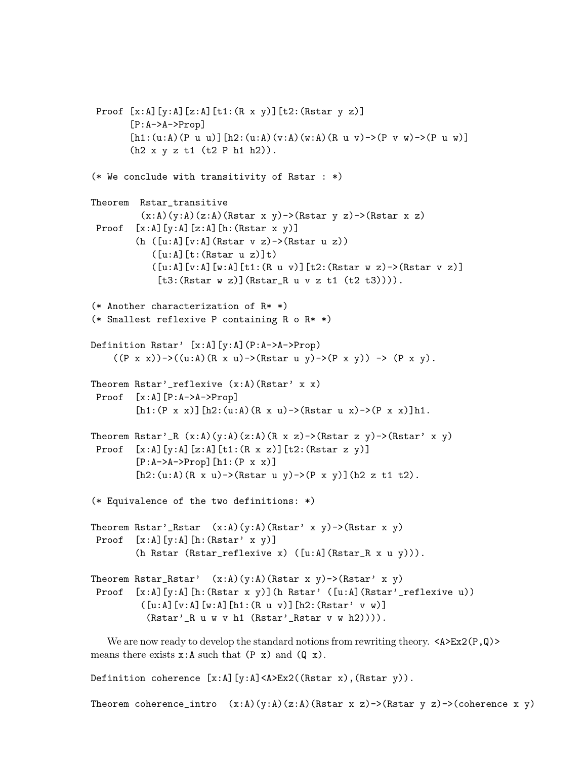```
Proof [x:A][y:A][z:A][t1:(R \times y)][t2:(Rstar y z)][P:A->A->Prop]
       [h1:(u:A)(P u u)] [h2:(u:A)(v:A)(w:A)(R u v) - \ge (P v w) - \ge (P u w)](h2 x y z t1 (t2 P h1 h2)).
(* We conclude with transitivity of Rstar : *)
Theorem Rstar_transitive
         (x:A)(y:A)(z:A)(Rstar x y)->(Rstar y z)->(Rstar x z)
Proof [x:A][y:A][z:A][h:(Rstar x y)](h ([u:A][v:A](Rstar v z)->(Rstar u z))
           ([u:A][t:(Rstar u z)]t)([u:A][v:A][w:A][t1:(R u v)][t2:(Rstar w z)->(Rstar v z)][t3:(Rstar w z)](Rstar_R w v z t1 (t2 t3))).(* Another characterization of R* *)
(* Smallest reflexive P containing R o R* *)
Definition Rstar' [x:A][y:A](P:A->A->Prop)
    ((P x x))\rightarrow ((u:A)(R x u)\rightarrow (Rstar u y)\rightarrow (P x y)) \rightarrow (P x y).Theorem Rstar'_reflexive (x:A)(Rstar' x x)
Proof [x:A][P:A->A->Prop]
        [h1:(P x x)] [h2:(u:A)(R x u) - \{(Rstar u x) - \{(P x x)\}h1.Theorem Rstar'_R (x:A)(y:A)(z:A)(R x z)->(Rstar z y)->(Rstar' x y)
Proof [x:A][y:A][z:A][t1:(R x z)][t2:(Rstar z y)][P:A->A->Prop] [h1:(P x x)][h2:(u:A)(R x u)->(Rstar u y)->(P x y)](h2 z t1 t2).
(* Equivalence of the two definitions: *)
Theorem Rstar'_Rstar (x:A)(y:A)(Rstar' x y)->(Rstar x y)
Proof [x:A][y:A][h:(Rstar' x y)]
        (h Rstar (Rstar_reflexive x) ([u:A](Rstar_R x u y))).
Theorem Rstar_Rstar' (x:A)(y:A)(Rstar x y)->(Rstar' x y)
Proof [x:A][y:A][h:(Rstar x y)](h Rstar' ([u:A](Rstar'_{r}reflexive u)))([u:A][v:A][w:A][h1:(R u v)][h2:(Rstar' v w)](Rstar'_R u w v h1 (Rstar'_Rstar v w h2)))).
```
We are now ready to develop the standard notions from rewriting theory.  $\langle A \rangle$ Ex2(P,Q)> means there exists  $x:A$  such that  $(P \times)$  and  $(Q \times)$ .

Definition coherence [x:A][y:A]<A>Ex2((Rstar x),(Rstar y)).

Theorem coherence\_intro  $(x:A)(y:A)(z:A)$ (Rstar x z)->(Rstar y z)->(coherence x y)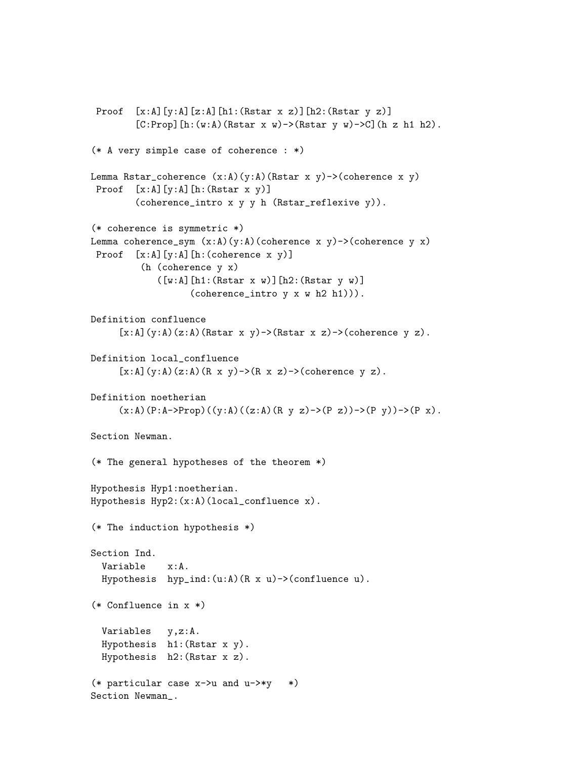```
Proof [x:A][y:A][z:A][h1:(Rstar x z)][h2:(Rstar y z)][C:Prop] [h:(w:A)(Rstar x w) -> (Rstar y w) -> C] (h z h1 h2).
(* A very simple case of coherence : *)
Lemma Rstar_coherence (x:A)(y:A)(Rstar x y)->(coherence x y)
Proof [x:A][y:A][h:(Rstar x y)]
        (coherence_intro x y y h (Rstar_reflexive y)).
(* coherence is symmetric *)
Lemma coherence_sym (x:A)(y:A)(coherence x y)->(coherence y x)
Proof [x:A][y:A][h:(coherence x y)]
         (h (coherence y x)
            ([w:A][h1:(Rstar x w)][h2:(Rstar y w)](coherence_intro y x w h2 h1))).
Definition confluence
     [x:A](y:A)(z:A)(Rstar x y)->(Rstar x z)->(coherence y z).
Definition local_confluence
     [x:A](y:A)(z:A)(R \times y) ->(R x \times z) ->(coherence y z).
Definition noetherian
     (x:A)(P:A->Prop)((y:A)((z:A)(R \ y \ z)\rightarrow(P \ z))\rightarrow(P \ y))\rightarrow(P \ x).Section Newman.
(* The general hypotheses of the theorem *)
Hypothesis Hyp1:noetherian.
Hypothesis Hyp2:(x:A)(local_confluence x).
(* The induction hypothesis *)
Section Ind.
  Variable x:A.
  Hypothesis hyp\_ind: (u:A) (R x u)->(confluence u).
(* Confluence in x *)
  Variables y,z:A.
 Hypothesis h1:(Rstar x y).
  Hypothesis h2:(Rstar x z).
(* particular case x->u and u->*y *)
Section Newman_.
```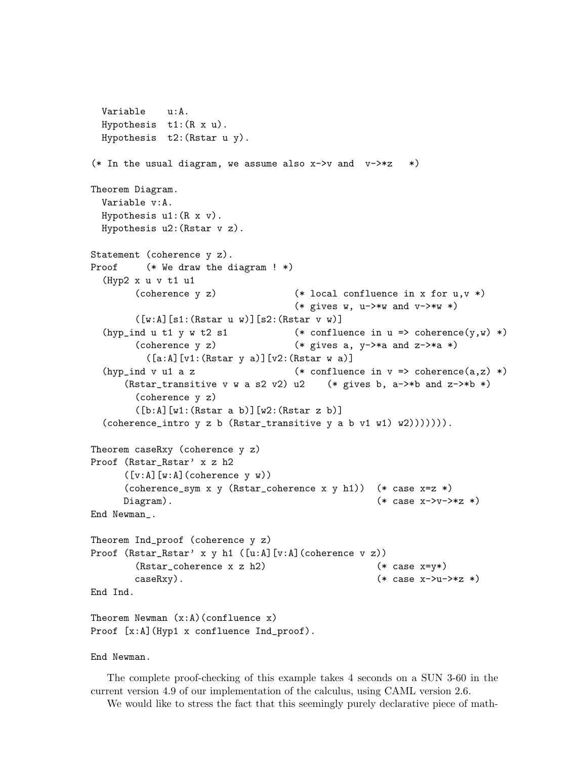```
Variable u:A.
  Hypothesis t1:(R x u).
 Hypothesis t2:(Rstar u y).
(* In the usual diagram, we assume also x \rightarrow y and v \rightarrow z *)
Theorem Diagram.
  Variable v:A.
 Hypothesis u1:(R x v).
 Hypothesis u2:(Rstar v z).
Statement (coherence y z).
Proof (* We draw the diagram ! *)
  (Hyp2 x u v t1 u1
        (coherence y z) (* local confluence in x for u,v *)
                                     (* gives w, u->*w and v->*w *)
        ([w:A][s1:(Rstar u w)][s2:(Rstar v w)](hyp_ind u t1 y w t2 s1 (* confluence in u => coherence(y,w) *)
        (coherence y z) (* gives a, y-\rightarrow*a and z-\rightarrow*a *)
          ([a:A][v1:(Rstar y a)][v2:(Rstar w a)]
  (hyp_ind v u1 a z (*) confluence in v => coherence(a,z) *)
      (Rstar_transitive v w a s2 v2) u2 (* gives b, a->*b and z->*b *)
        (coherence y z)
        ([b:A][w1:(Rstar a b)][w2:(Rstar z b)]
  (coherence_intro y \, z \, b \, (Rstar_transitive \, y \, a \, b \, v1 \, w1) \, w2))))))).
Theorem caseRxy (coherence y z)
Proof (Rstar_Rstar' x z h2
      ([v:A][w:A](\text{coherence } y \ w))(coherence_sym x y (Rstar_coherence x y h1)) (* case x=z *)
      Diagram). (*) case x \rightarrow y \rightarrow xz *)
End Newman_.
Theorem Ind_proof (coherence y z)
Proof (Rstar_Rstar' x y h1 ([u:A][v:A](coherence v z))
        (Rstar{\_}coherence x z h2) (* case x=y*)\text{caseRxy}. (*) (* \text{case } x \rightarrow u \rightarrow xz *End Ind.
Theorem Newman (x:A)(confluence x)Proof [x:A] (Hyp1 x confluence Ind_proof).
```
End Newman.

The complete proof-checking of this example takes 4 seconds on a SUN 3-60 in the current version 4.9 of our implementation of the calculus, using CAML version 2.6.

We would like to stress the fact that this seemingly purely declarative piece of math-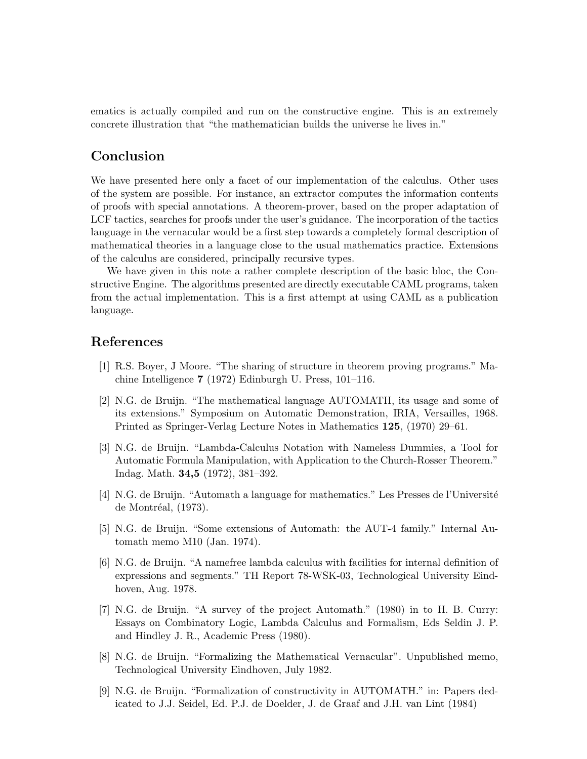ematics is actually compiled and run on the constructive engine. This is an extremely concrete illustration that "the mathematician builds the universe he lives in."

# Conclusion

We have presented here only a facet of our implementation of the calculus. Other uses of the system are possible. For instance, an extractor computes the information contents of proofs with special annotations. A theorem-prover, based on the proper adaptation of LCF tactics, searches for proofs under the user's guidance. The incorporation of the tactics language in the vernacular would be a first step towards a completely formal description of mathematical theories in a language close to the usual mathematics practice. Extensions of the calculus are considered, principally recursive types.

We have given in this note a rather complete description of the basic bloc, the Constructive Engine. The algorithms presented are directly executable CAML programs, taken from the actual implementation. This is a first attempt at using CAML as a publication language.

# References

- [1] R.S. Boyer, J Moore. "The sharing of structure in theorem proving programs." Machine Intelligence 7 (1972) Edinburgh U. Press, 101–116.
- [2] N.G. de Bruijn. "The mathematical language AUTOMATH, its usage and some of its extensions." Symposium on Automatic Demonstration, IRIA, Versailles, 1968. Printed as Springer-Verlag Lecture Notes in Mathematics 125, (1970) 29–61.
- [3] N.G. de Bruijn. "Lambda-Calculus Notation with Nameless Dummies, a Tool for Automatic Formula Manipulation, with Application to the Church-Rosser Theorem." Indag. Math. 34,5 (1972), 381–392.
- [4] N.G. de Bruijn. "Automath a language for mathematics." Les Presses de l'Université de Montréal,  $(1973)$ .
- [5] N.G. de Bruijn. "Some extensions of Automath: the AUT-4 family." Internal Automath memo M10 (Jan. 1974).
- [6] N.G. de Bruijn. "A namefree lambda calculus with facilities for internal definition of expressions and segments." TH Report 78-WSK-03, Technological University Eindhoven, Aug. 1978.
- [7] N.G. de Bruijn. "A survey of the project Automath." (1980) in to H. B. Curry: Essays on Combinatory Logic, Lambda Calculus and Formalism, Eds Seldin J. P. and Hindley J. R., Academic Press (1980).
- [8] N.G. de Bruijn. "Formalizing the Mathematical Vernacular". Unpublished memo, Technological University Eindhoven, July 1982.
- [9] N.G. de Bruijn. "Formalization of constructivity in AUTOMATH." in: Papers dedicated to J.J. Seidel, Ed. P.J. de Doelder, J. de Graaf and J.H. van Lint (1984)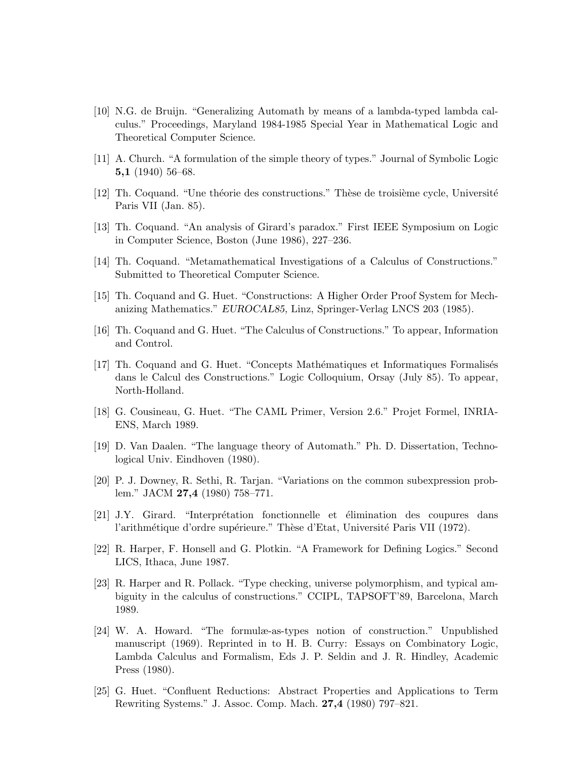- [10] N.G. de Bruijn. "Generalizing Automath by means of a lambda-typed lambda calculus." Proceedings, Maryland 1984-1985 Special Year in Mathematical Logic and Theoretical Computer Science.
- [11] A. Church. "A formulation of the simple theory of types." Journal of Symbolic Logic 5,1  $(1940)$  56–68.
- $[12]$  Th. Coquand. "Une théorie des constructions." Thèse de troisième cycle, Université Paris VII (Jan. 85).
- [13] Th. Coquand. "An analysis of Girard's paradox." First IEEE Symposium on Logic in Computer Science, Boston (June 1986), 227–236.
- [14] Th. Coquand. "Metamathematical Investigations of a Calculus of Constructions." Submitted to Theoretical Computer Science.
- [15] Th. Coquand and G. Huet. "Constructions: A Higher Order Proof System for Mechanizing Mathematics." EUROCAL85, Linz, Springer-Verlag LNCS 203 (1985).
- [16] Th. Coquand and G. Huet. "The Calculus of Constructions." To appear, Information and Control.
- [17] Th. Coquand and G. Huet. "Concepts Mathématiques et Informatiques Formalisés" dans le Calcul des Constructions." Logic Colloquium, Orsay (July 85). To appear, North-Holland.
- [18] G. Cousineau, G. Huet. "The CAML Primer, Version 2.6." Projet Formel, INRIA-ENS, March 1989.
- [19] D. Van Daalen. "The language theory of Automath." Ph. D. Dissertation, Technological Univ. Eindhoven (1980).
- [20] P. J. Downey, R. Sethi, R. Tarjan. "Variations on the common subexpression problem." JACM 27,4 (1980) 758–771.
- [21] J.Y. Girard. "Interprétation fonctionnelle et élimination des coupures dans l'arithmétique d'ordre supérieure." Thèse d'Etat, Université Paris VII (1972).
- [22] R. Harper, F. Honsell and G. Plotkin. "A Framework for Defining Logics." Second LICS, Ithaca, June 1987.
- [23] R. Harper and R. Pollack. "Type checking, universe polymorphism, and typical ambiguity in the calculus of constructions." CCIPL, TAPSOFT'89, Barcelona, March 1989.
- [24] W. A. Howard. "The formulæ-as-types notion of construction." Unpublished manuscript (1969). Reprinted in to H. B. Curry: Essays on Combinatory Logic, Lambda Calculus and Formalism, Eds J. P. Seldin and J. R. Hindley, Academic Press (1980).
- [25] G. Huet. "Confluent Reductions: Abstract Properties and Applications to Term Rewriting Systems." J. Assoc. Comp. Mach. 27,4 (1980) 797–821.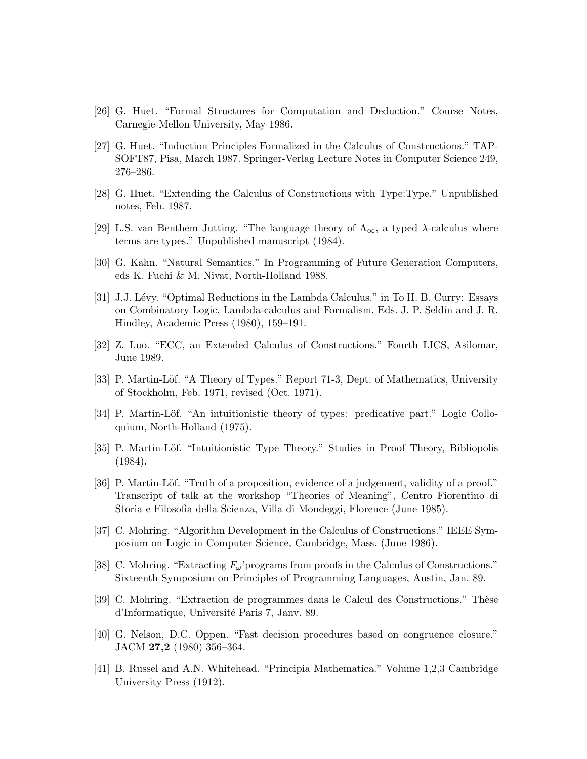- [26] G. Huet. "Formal Structures for Computation and Deduction." Course Notes, Carnegie-Mellon University, May 1986.
- [27] G. Huet. "Induction Principles Formalized in the Calculus of Constructions." TAP-SOFT87, Pisa, March 1987. Springer-Verlag Lecture Notes in Computer Science 249, 276–286.
- [28] G. Huet. "Extending the Calculus of Constructions with Type:Type." Unpublished notes, Feb. 1987.
- [29] L.S. van Benthem Jutting. "The language theory of  $\Lambda_{\infty}$ , a typed  $\lambda$ -calculus where terms are types." Unpublished manuscript (1984).
- [30] G. Kahn. "Natural Semantics." In Programming of Future Generation Computers, eds K. Fuchi & M. Nivat, North-Holland 1988.
- [31] J.J. Lévy. "Optimal Reductions in the Lambda Calculus." in To H. B. Curry: Essays on Combinatory Logic, Lambda-calculus and Formalism, Eds. J. P. Seldin and J. R. Hindley, Academic Press (1980), 159–191.
- [32] Z. Luo. "ECC, an Extended Calculus of Constructions." Fourth LICS, Asilomar, June 1989.
- [33] P. Martin-Löf. "A Theory of Types." Report 71-3, Dept. of Mathematics, University of Stockholm, Feb. 1971, revised (Oct. 1971).
- [34] P. Martin-Löf. "An intuitionistic theory of types: predicative part." Logic Colloquium, North-Holland (1975).
- [35] P. Martin-Löf. "Intuitionistic Type Theory." Studies in Proof Theory, Bibliopolis (1984).
- [36] P. Martin-Löf. "Truth of a proposition, evidence of a judgement, validity of a proof." Transcript of talk at the workshop "Theories of Meaning", Centro Fiorentino di Storia e Filosofia della Scienza, Villa di Mondeggi, Florence (June 1985).
- [37] C. Mohring. "Algorithm Development in the Calculus of Constructions." IEEE Symposium on Logic in Computer Science, Cambridge, Mass. (June 1986).
- [38] C. Mohring. "Extracting  $F_{\omega}$ 'programs from proofs in the Calculus of Constructions." Sixteenth Symposium on Principles of Programming Languages, Austin, Jan. 89.
- [39] C. Mohring. "Extraction de programmes dans le Calcul des Constructions." Thèse d'Informatique, Universit´e Paris 7, Janv. 89.
- [40] G. Nelson, D.C. Oppen. "Fast decision procedures based on congruence closure." JACM 27,2 (1980) 356–364.
- [41] B. Russel and A.N. Whitehead. "Principia Mathematica." Volume 1,2,3 Cambridge University Press (1912).